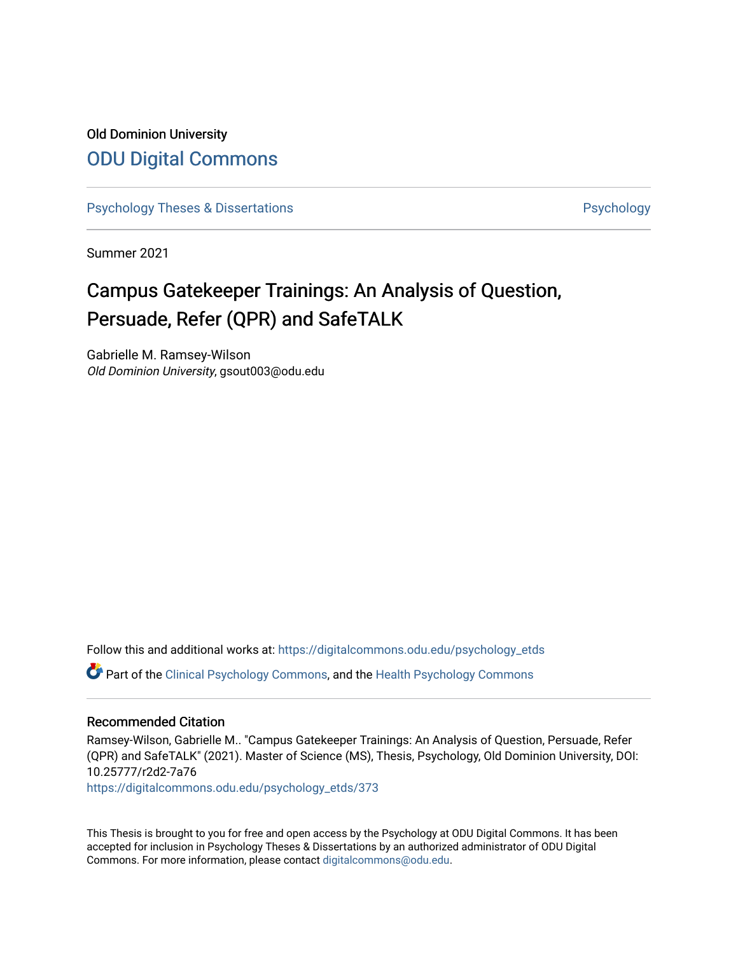# Old Dominion University [ODU Digital Commons](https://digitalcommons.odu.edu/)

[Psychology Theses & Dissertations](https://digitalcommons.odu.edu/psychology_etds) **Psychology** [Psychology](https://digitalcommons.odu.edu/psychology) **Psychology** 

Summer 2021

# Campus Gatekeeper Trainings: An Analysis of Question, Persuade, Refer (QPR) and SafeTALK

Gabrielle M. Ramsey-Wilson Old Dominion University, gsout003@odu.edu

Follow this and additional works at: [https://digitalcommons.odu.edu/psychology\\_etds](https://digitalcommons.odu.edu/psychology_etds?utm_source=digitalcommons.odu.edu%2Fpsychology_etds%2F373&utm_medium=PDF&utm_campaign=PDFCoverPages)

Part of the [Clinical Psychology Commons,](http://network.bepress.com/hgg/discipline/406?utm_source=digitalcommons.odu.edu%2Fpsychology_etds%2F373&utm_medium=PDF&utm_campaign=PDFCoverPages) and the [Health Psychology Commons](http://network.bepress.com/hgg/discipline/411?utm_source=digitalcommons.odu.edu%2Fpsychology_etds%2F373&utm_medium=PDF&utm_campaign=PDFCoverPages) 

#### Recommended Citation

Ramsey-Wilson, Gabrielle M.. "Campus Gatekeeper Trainings: An Analysis of Question, Persuade, Refer (QPR) and SafeTALK" (2021). Master of Science (MS), Thesis, Psychology, Old Dominion University, DOI: 10.25777/r2d2-7a76

[https://digitalcommons.odu.edu/psychology\\_etds/373](https://digitalcommons.odu.edu/psychology_etds/373?utm_source=digitalcommons.odu.edu%2Fpsychology_etds%2F373&utm_medium=PDF&utm_campaign=PDFCoverPages)

This Thesis is brought to you for free and open access by the Psychology at ODU Digital Commons. It has been accepted for inclusion in Psychology Theses & Dissertations by an authorized administrator of ODU Digital Commons. For more information, please contact [digitalcommons@odu.edu](mailto:digitalcommons@odu.edu).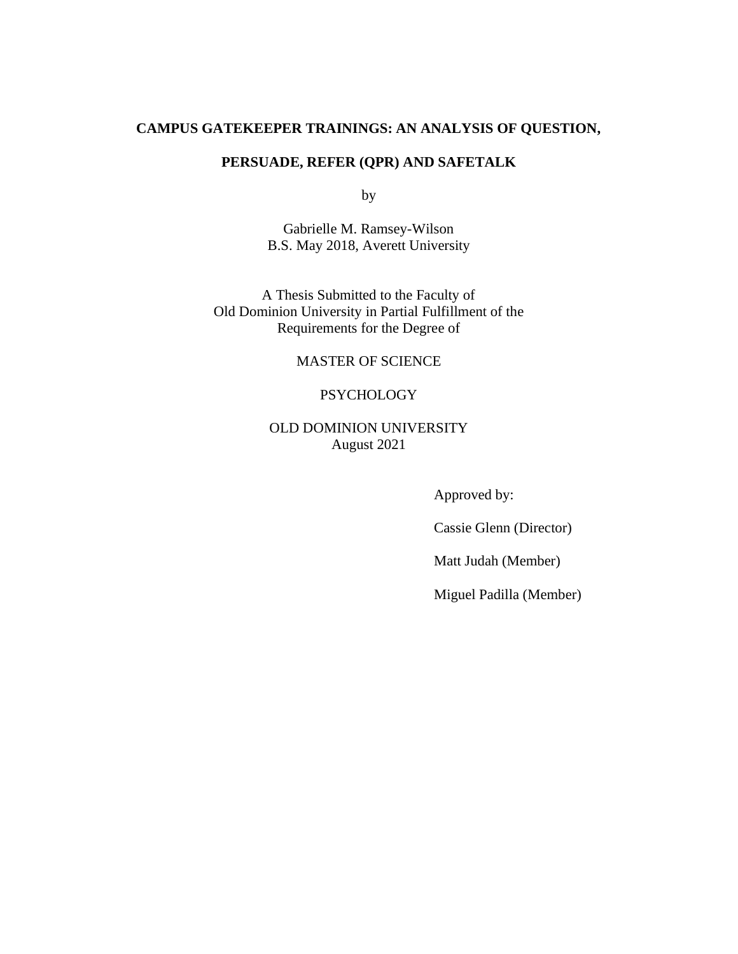## **CAMPUS GATEKEEPER TRAININGS: AN ANALYSIS OF QUESTION,**

### **PERSUADE, REFER (QPR) AND SAFETALK**

by

Gabrielle M. Ramsey-Wilson B.S. May 2018, Averett University

A Thesis Submitted to the Faculty of Old Dominion University in Partial Fulfillment of the Requirements for the Degree of

#### MASTER OF SCIENCE

#### **PSYCHOLOGY**

### OLD DOMINION UNIVERSITY August 2021

Approved by:

Cassie Glenn (Director)

Matt Judah (Member)

Miguel Padilla (Member)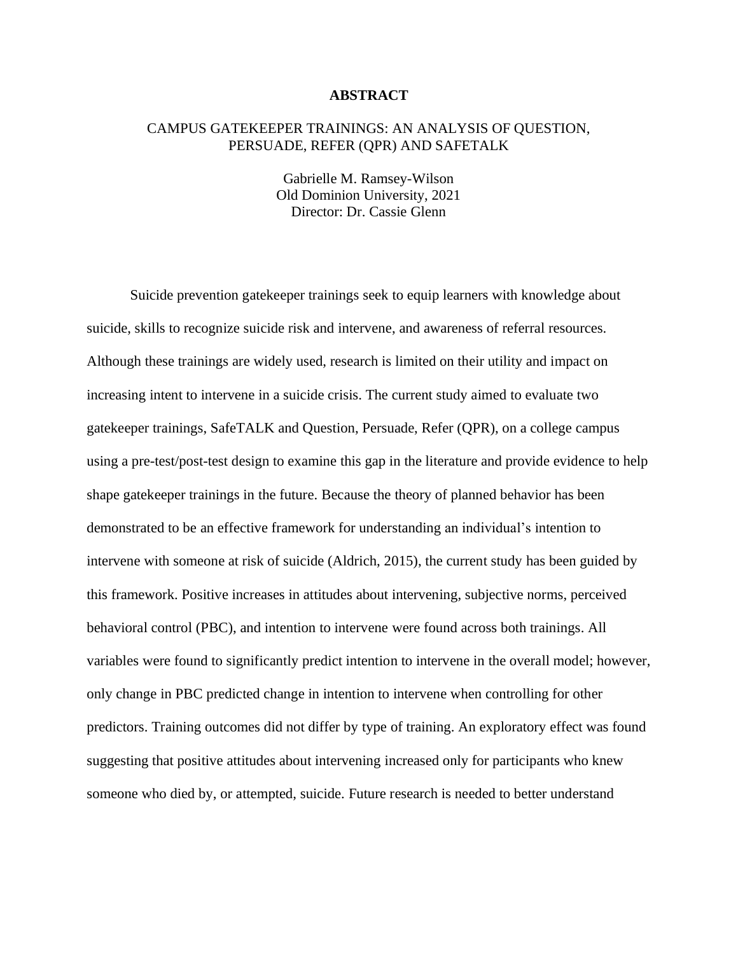#### **ABSTRACT**

#### CAMPUS GATEKEEPER TRAININGS: AN ANALYSIS OF QUESTION, PERSUADE, REFER (QPR) AND SAFETALK

Gabrielle M. Ramsey-Wilson Old Dominion University, 2021 Director: Dr. Cassie Glenn

Suicide prevention gatekeeper trainings seek to equip learners with knowledge about suicide, skills to recognize suicide risk and intervene, and awareness of referral resources. Although these trainings are widely used, research is limited on their utility and impact on increasing intent to intervene in a suicide crisis. The current study aimed to evaluate two gatekeeper trainings, SafeTALK and Question, Persuade, Refer (QPR), on a college campus using a pre-test/post-test design to examine this gap in the literature and provide evidence to help shape gatekeeper trainings in the future. Because the theory of planned behavior has been demonstrated to be an effective framework for understanding an individual's intention to intervene with someone at risk of suicide (Aldrich, 2015), the current study has been guided by this framework. Positive increases in attitudes about intervening, subjective norms, perceived behavioral control (PBC), and intention to intervene were found across both trainings. All variables were found to significantly predict intention to intervene in the overall model; however, only change in PBC predicted change in intention to intervene when controlling for other predictors. Training outcomes did not differ by type of training. An exploratory effect was found suggesting that positive attitudes about intervening increased only for participants who knew someone who died by, or attempted, suicide. Future research is needed to better understand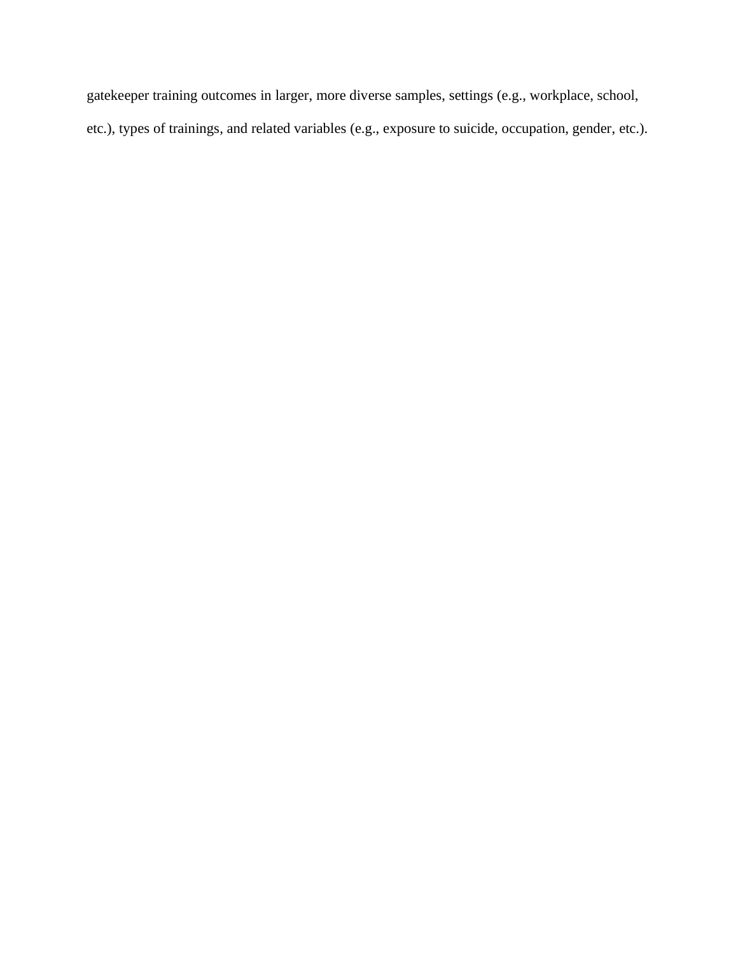gatekeeper training outcomes in larger, more diverse samples, settings (e.g., workplace, school, etc.), types of trainings, and related variables (e.g., exposure to suicide, occupation, gender, etc.).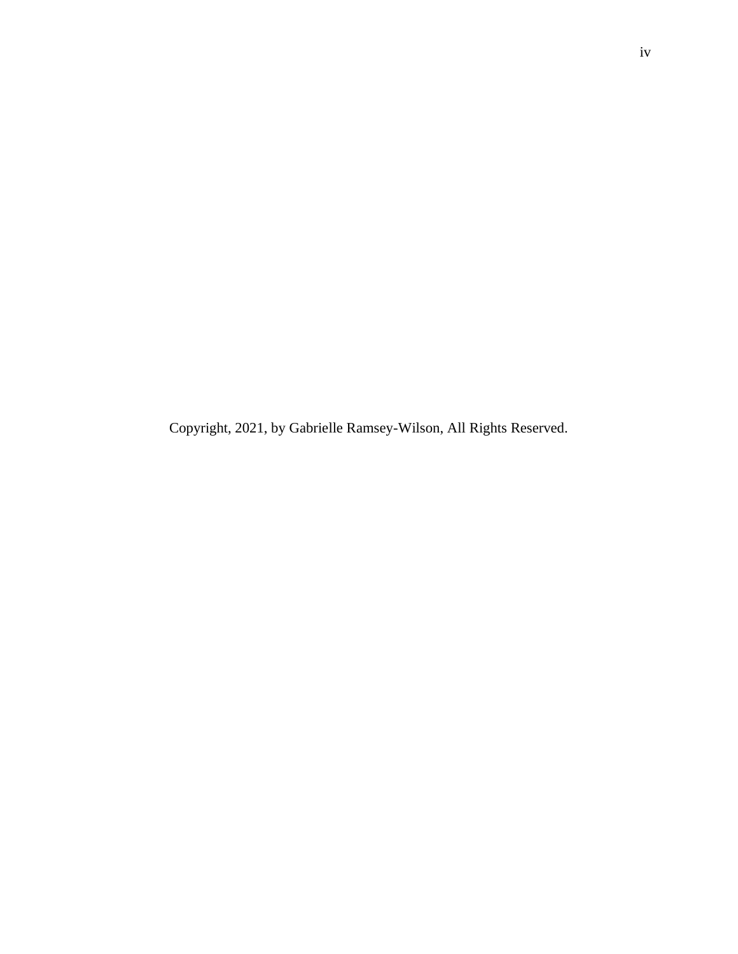Copyright, 2021, by Gabrielle Ramsey-Wilson, All Rights Reserved.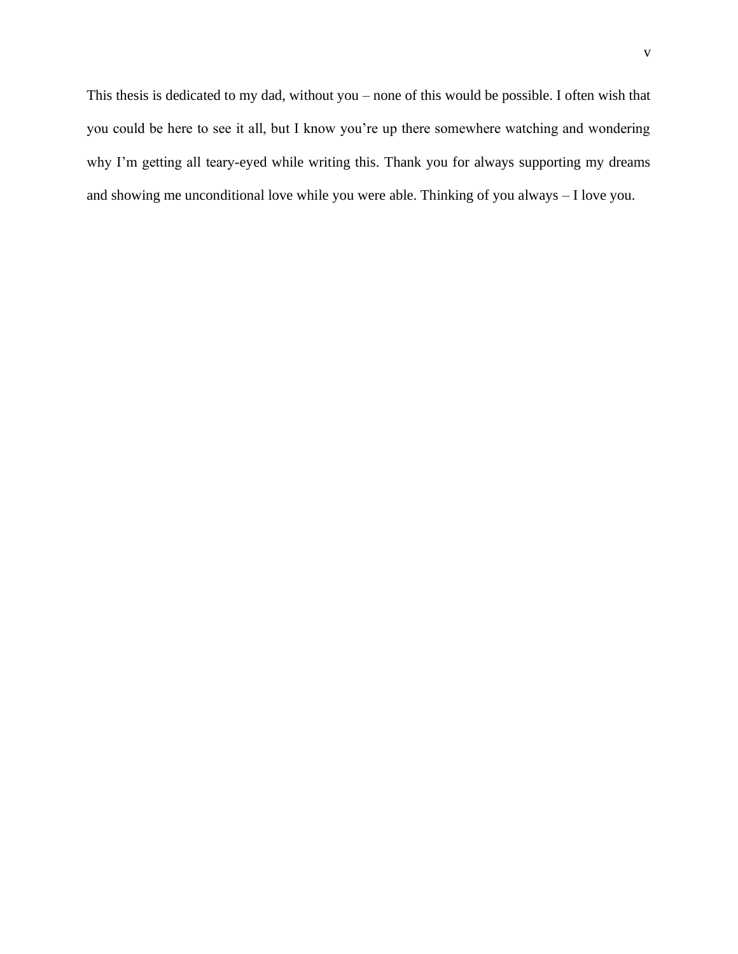This thesis is dedicated to my dad, without you – none of this would be possible. I often wish that you could be here to see it all, but I know you're up there somewhere watching and wondering why I'm getting all teary-eyed while writing this. Thank you for always supporting my dreams and showing me unconditional love while you were able. Thinking of you always – I love you.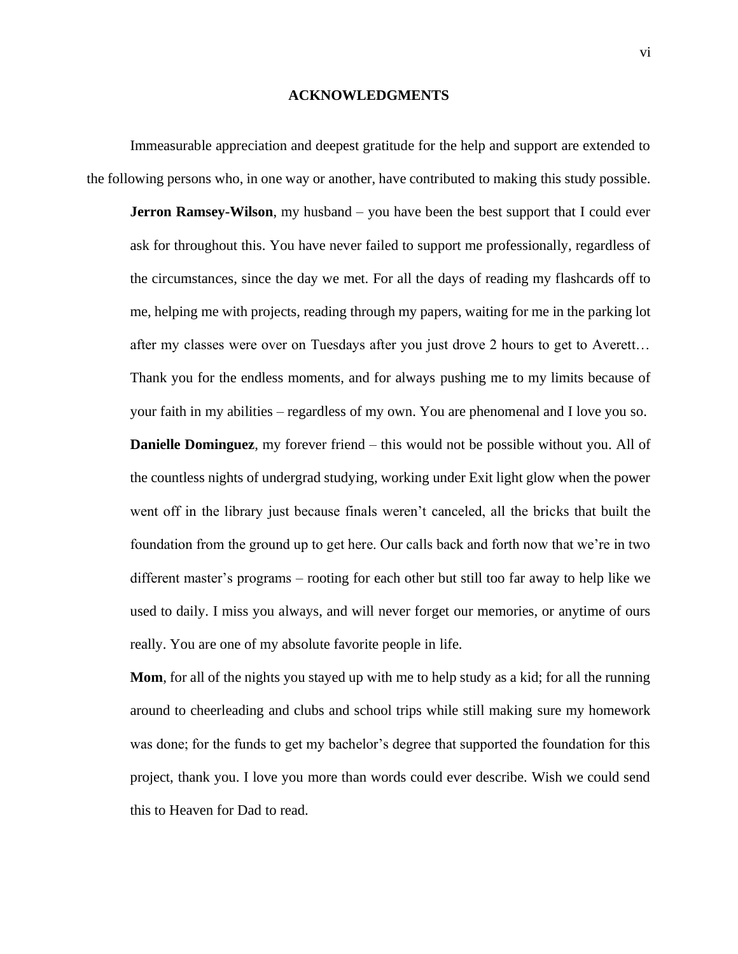#### **ACKNOWLEDGMENTS**

Immeasurable appreciation and deepest gratitude for the help and support are extended to the following persons who, in one way or another, have contributed to making this study possible.

**Jerron Ramsey-Wilson**, my husband – you have been the best support that I could ever ask for throughout this. You have never failed to support me professionally, regardless of the circumstances, since the day we met. For all the days of reading my flashcards off to me, helping me with projects, reading through my papers, waiting for me in the parking lot after my classes were over on Tuesdays after you just drove 2 hours to get to Averett… Thank you for the endless moments, and for always pushing me to my limits because of your faith in my abilities – regardless of my own. You are phenomenal and I love you so. **Danielle Dominguez**, my forever friend – this would not be possible without you. All of the countless nights of undergrad studying, working under Exit light glow when the power went off in the library just because finals weren't canceled, all the bricks that built the foundation from the ground up to get here. Our calls back and forth now that we're in two different master's programs – rooting for each other but still too far away to help like we used to daily. I miss you always, and will never forget our memories, or anytime of ours really. You are one of my absolute favorite people in life.

**Mom**, for all of the nights you stayed up with me to help study as a kid; for all the running around to cheerleading and clubs and school trips while still making sure my homework was done; for the funds to get my bachelor's degree that supported the foundation for this project, thank you. I love you more than words could ever describe. Wish we could send this to Heaven for Dad to read.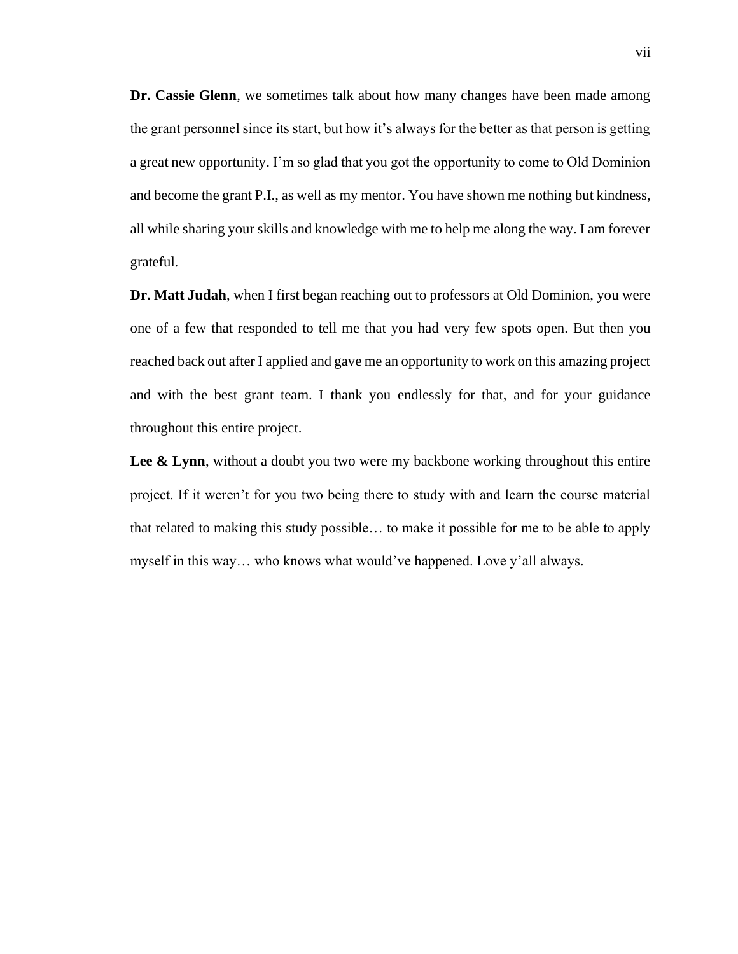**Dr. Cassie Glenn**, we sometimes talk about how many changes have been made among the grant personnel since its start, but how it's always for the better as that person is getting a great new opportunity. I'm so glad that you got the opportunity to come to Old Dominion and become the grant P.I., as well as my mentor. You have shown me nothing but kindness, all while sharing your skills and knowledge with me to help me along the way. I am forever grateful.

**Dr. Matt Judah**, when I first began reaching out to professors at Old Dominion, you were one of a few that responded to tell me that you had very few spots open. But then you reached back out after I applied and gave me an opportunity to work on this amazing project and with the best grant team. I thank you endlessly for that, and for your guidance throughout this entire project.

Lee & Lynn, without a doubt you two were my backbone working throughout this entire project. If it weren't for you two being there to study with and learn the course material that related to making this study possible… to make it possible for me to be able to apply myself in this way… who knows what would've happened. Love y'all always.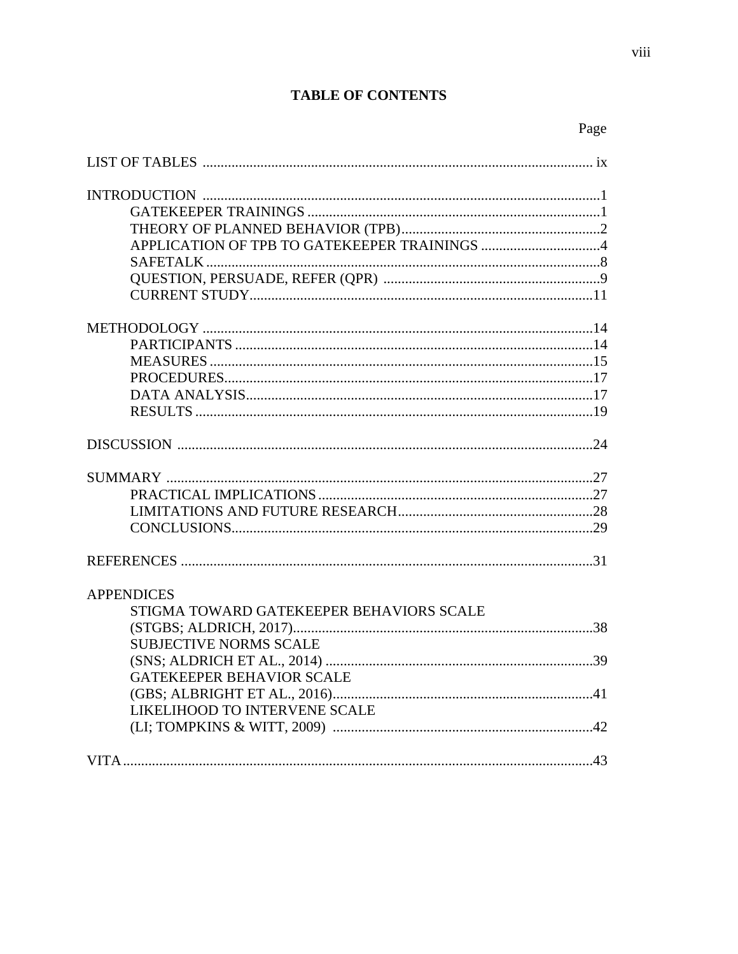## **TABLE OF CONTENTS**

|                                          | Page |
|------------------------------------------|------|
|                                          |      |
|                                          |      |
|                                          |      |
|                                          |      |
|                                          |      |
|                                          |      |
|                                          |      |
|                                          |      |
|                                          |      |
|                                          |      |
|                                          |      |
|                                          |      |
|                                          |      |
|                                          |      |
|                                          |      |
|                                          |      |
|                                          |      |
|                                          |      |
|                                          |      |
|                                          |      |
| <b>APPENDICES</b>                        |      |
| STIGMA TOWARD GATEKEEPER BEHAVIORS SCALE |      |
|                                          |      |
| <b>SUBJECTIVE NORMS SCALE</b>            |      |
|                                          |      |
| <b>GATEKEEPER BEHAVIOR SCALE</b>         |      |
|                                          |      |
| LIKELIHOOD TO INTERVENE SCALE            |      |
|                                          |      |
|                                          |      |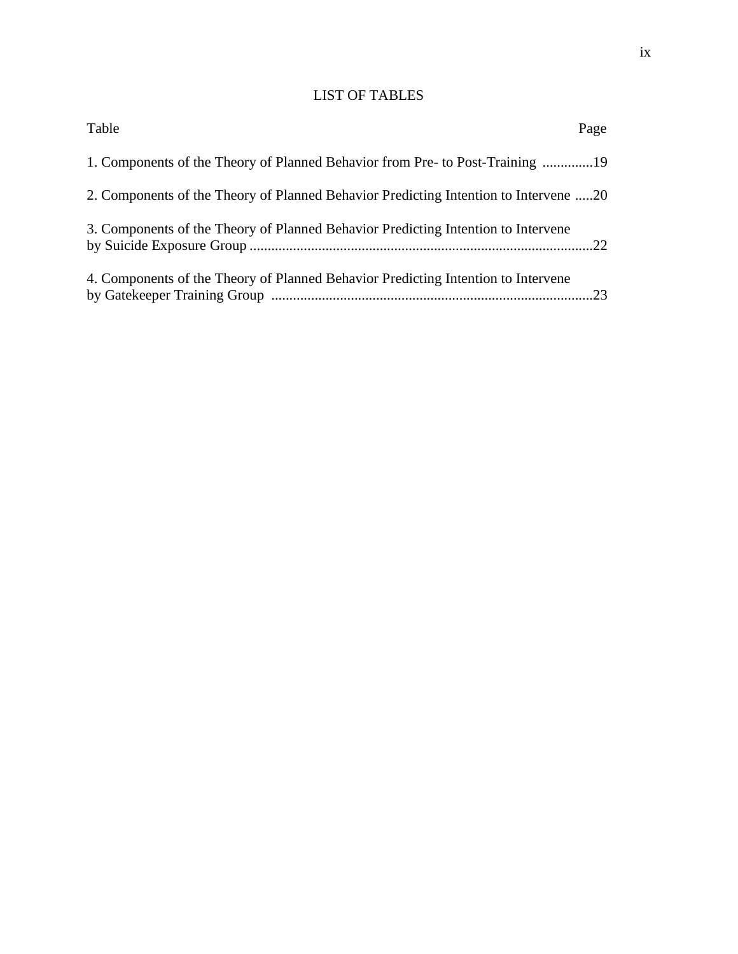## LIST OF TABLES

| Table                                                                                | Page |
|--------------------------------------------------------------------------------------|------|
| 1. Components of the Theory of Planned Behavior from Pre- to Post-Training 19        |      |
| 2. Components of the Theory of Planned Behavior Predicting Intention to Intervene 20 |      |
| 3. Components of the Theory of Planned Behavior Predicting Intention to Intervene    |      |
| 4. Components of the Theory of Planned Behavior Predicting Intention to Intervene    |      |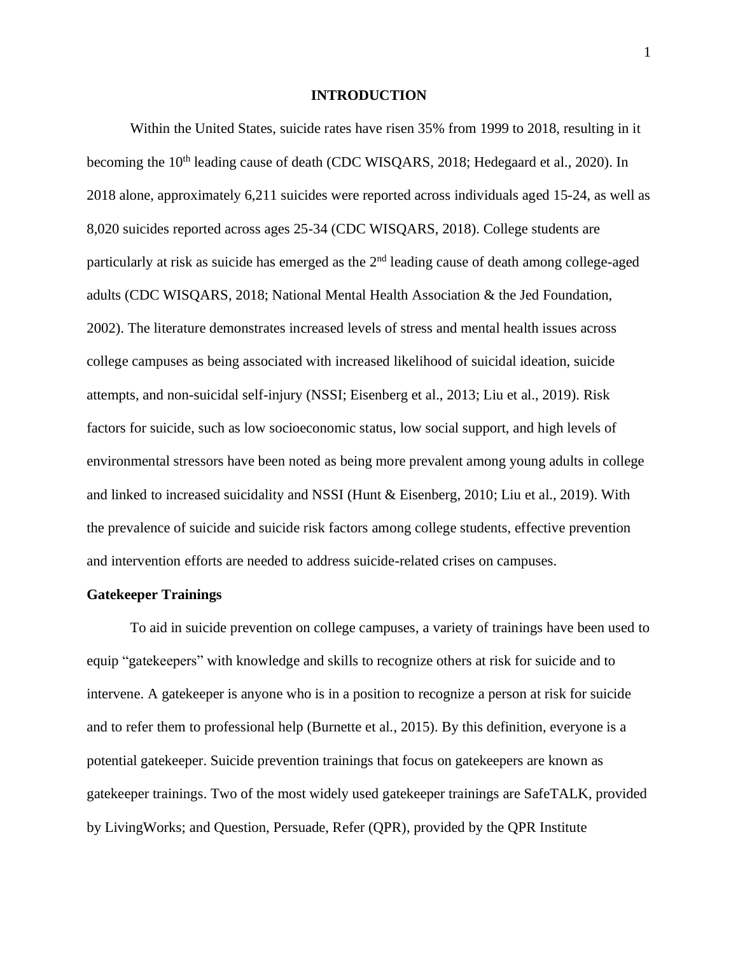#### **INTRODUCTION**

Within the United States, suicide rates have risen 35% from 1999 to 2018, resulting in it becoming the 10<sup>th</sup> leading cause of death (CDC WISQARS, 2018; Hedegaard et al., 2020). In 2018 alone, approximately 6,211 suicides were reported across individuals aged 15-24, as well as 8,020 suicides reported across ages 25-34 (CDC WISQARS, 2018). College students are particularly at risk as suicide has emerged as the 2<sup>nd</sup> leading cause of death among college-aged adults (CDC WISQARS, 2018; National Mental Health Association & the Jed Foundation, 2002). The literature demonstrates increased levels of stress and mental health issues across college campuses as being associated with increased likelihood of suicidal ideation, suicide attempts, and non-suicidal self-injury (NSSI; Eisenberg et al., 2013; Liu et al., 2019). Risk factors for suicide, such as low socioeconomic status, low social support, and high levels of environmental stressors have been noted as being more prevalent among young adults in college and linked to increased suicidality and NSSI (Hunt & Eisenberg, 2010; Liu et al., 2019). With the prevalence of suicide and suicide risk factors among college students, effective prevention and intervention efforts are needed to address suicide-related crises on campuses.

#### **Gatekeeper Trainings**

To aid in suicide prevention on college campuses, a variety of trainings have been used to equip "gatekeepers" with knowledge and skills to recognize others at risk for suicide and to intervene. A gatekeeper is anyone who is in a position to recognize a person at risk for suicide and to refer them to professional help (Burnette et al., 2015). By this definition, everyone is a potential gatekeeper. Suicide prevention trainings that focus on gatekeepers are known as gatekeeper trainings. Two of the most widely used gatekeeper trainings are SafeTALK, provided by LivingWorks; and Question, Persuade, Refer (QPR), provided by the QPR Institute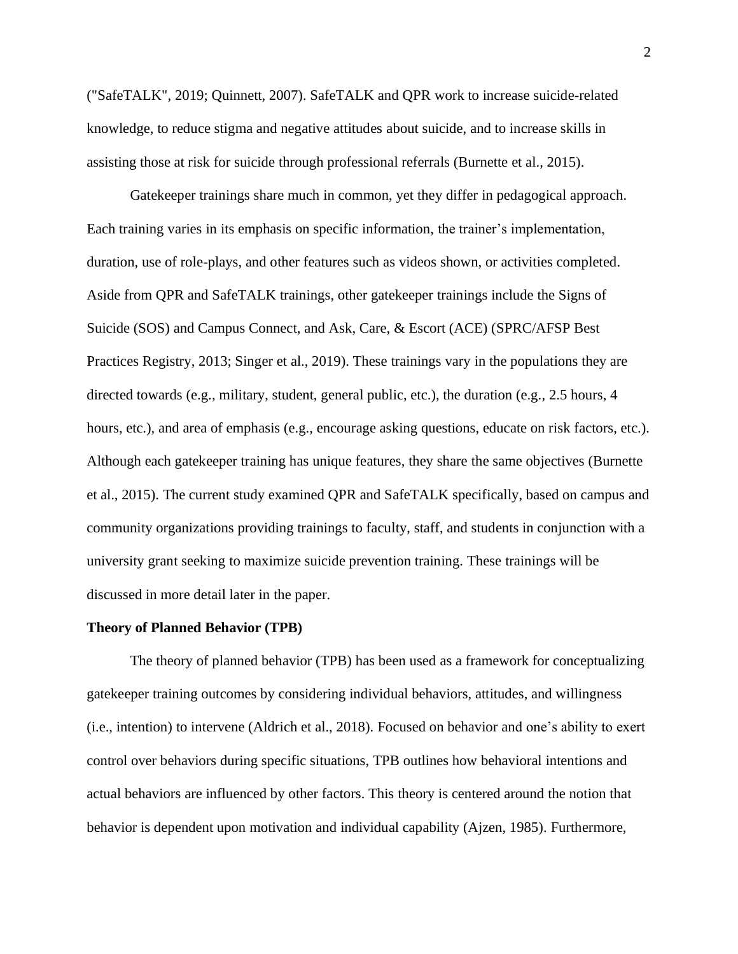("SafeTALK", 2019; Quinnett, 2007). SafeTALK and QPR work to increase suicide-related knowledge, to reduce stigma and negative attitudes about suicide, and to increase skills in assisting those at risk for suicide through professional referrals (Burnette et al., 2015).

Gatekeeper trainings share much in common, yet they differ in pedagogical approach. Each training varies in its emphasis on specific information, the trainer's implementation, duration, use of role-plays, and other features such as videos shown, or activities completed. Aside from QPR and SafeTALK trainings, other gatekeeper trainings include the Signs of Suicide (SOS) and Campus Connect, and Ask, Care, & Escort (ACE) (SPRC/AFSP Best Practices Registry, 2013; Singer et al., 2019). These trainings vary in the populations they are directed towards (e.g., military, student, general public, etc.), the duration (e.g., 2.5 hours, 4 hours, etc.), and area of emphasis (e.g., encourage asking questions, educate on risk factors, etc.). Although each gatekeeper training has unique features, they share the same objectives (Burnette et al., 2015). The current study examined QPR and SafeTALK specifically, based on campus and community organizations providing trainings to faculty, staff, and students in conjunction with a university grant seeking to maximize suicide prevention training. These trainings will be discussed in more detail later in the paper.

#### **Theory of Planned Behavior (TPB)**

The theory of planned behavior (TPB) has been used as a framework for conceptualizing gatekeeper training outcomes by considering individual behaviors, attitudes, and willingness (i.e., intention) to intervene (Aldrich et al., 2018). Focused on behavior and one's ability to exert control over behaviors during specific situations, TPB outlines how behavioral intentions and actual behaviors are influenced by other factors. This theory is centered around the notion that behavior is dependent upon motivation and individual capability (Ajzen, 1985). Furthermore,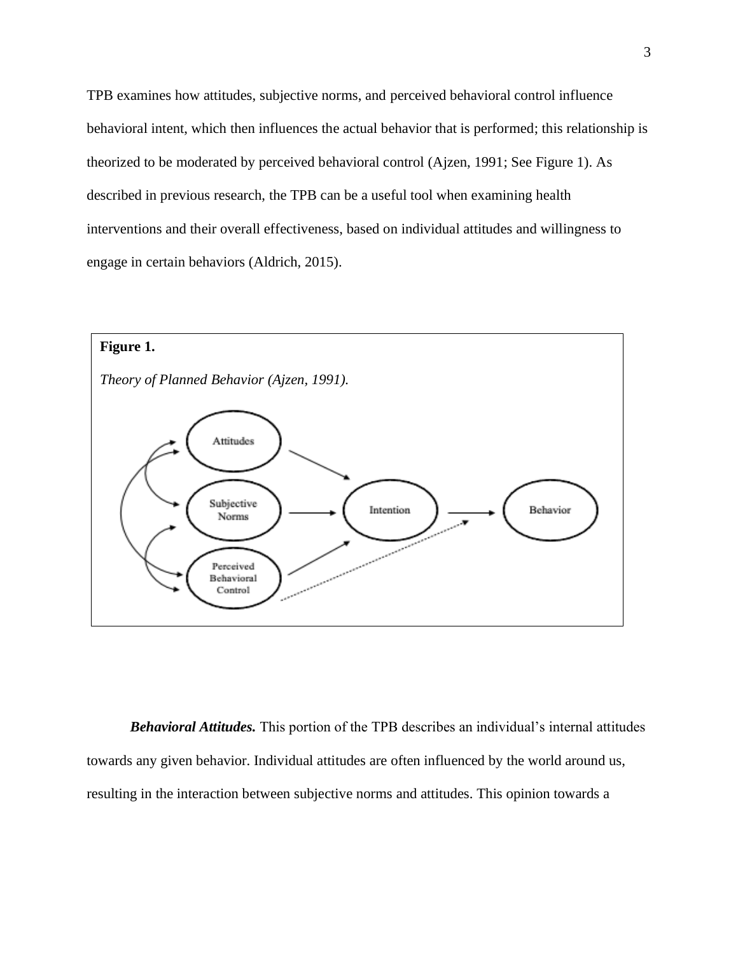TPB examines how attitudes, subjective norms, and perceived behavioral control influence behavioral intent, which then influences the actual behavior that is performed; this relationship is theorized to be moderated by perceived behavioral control (Ajzen, 1991; See Figure 1). As described in previous research, the TPB can be a useful tool when examining health interventions and their overall effectiveness, based on individual attitudes and willingness to engage in certain behaviors (Aldrich, 2015).



*Behavioral Attitudes.* This portion of the TPB describes an individual's internal attitudes towards any given behavior. Individual attitudes are often influenced by the world around us, resulting in the interaction between subjective norms and attitudes. This opinion towards a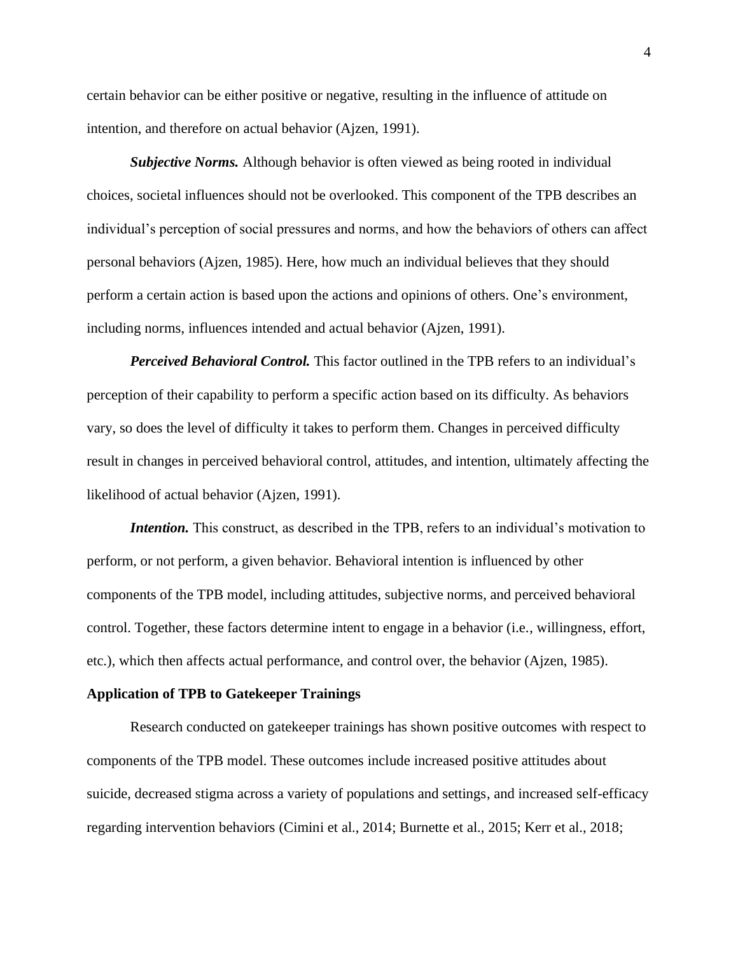certain behavior can be either positive or negative, resulting in the influence of attitude on intention, and therefore on actual behavior (Ajzen, 1991).

*Subjective Norms.* Although behavior is often viewed as being rooted in individual choices, societal influences should not be overlooked. This component of the TPB describes an individual's perception of social pressures and norms, and how the behaviors of others can affect personal behaviors (Ajzen, 1985). Here, how much an individual believes that they should perform a certain action is based upon the actions and opinions of others. One's environment, including norms, influences intended and actual behavior (Ajzen, 1991).

*Perceived Behavioral Control.* This factor outlined in the TPB refers to an individual's perception of their capability to perform a specific action based on its difficulty. As behaviors vary, so does the level of difficulty it takes to perform them. Changes in perceived difficulty result in changes in perceived behavioral control, attitudes, and intention, ultimately affecting the likelihood of actual behavior (Ajzen, 1991).

*Intention*. This construct, as described in the TPB, refers to an individual's motivation to perform, or not perform, a given behavior. Behavioral intention is influenced by other components of the TPB model, including attitudes, subjective norms, and perceived behavioral control. Together, these factors determine intent to engage in a behavior (i.e., willingness, effort, etc.), which then affects actual performance, and control over, the behavior (Ajzen, 1985).

#### **Application of TPB to Gatekeeper Trainings**

Research conducted on gatekeeper trainings has shown positive outcomes with respect to components of the TPB model. These outcomes include increased positive attitudes about suicide, decreased stigma across a variety of populations and settings, and increased self-efficacy regarding intervention behaviors (Cimini et al., 2014; Burnette et al., 2015; Kerr et al., 2018;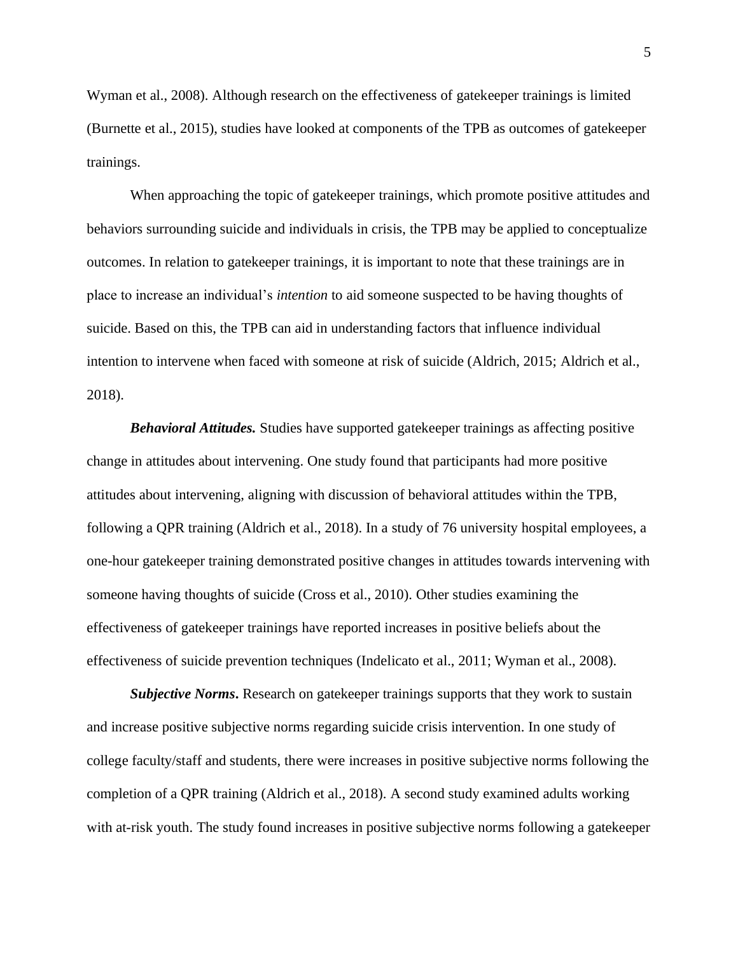Wyman et al., 2008). Although research on the effectiveness of gatekeeper trainings is limited (Burnette et al., 2015), studies have looked at components of the TPB as outcomes of gatekeeper trainings.

When approaching the topic of gatekeeper trainings, which promote positive attitudes and behaviors surrounding suicide and individuals in crisis, the TPB may be applied to conceptualize outcomes. In relation to gatekeeper trainings, it is important to note that these trainings are in place to increase an individual's *intention* to aid someone suspected to be having thoughts of suicide. Based on this, the TPB can aid in understanding factors that influence individual intention to intervene when faced with someone at risk of suicide (Aldrich, 2015; Aldrich et al., 2018).

*Behavioral Attitudes.* Studies have supported gatekeeper trainings as affecting positive change in attitudes about intervening. One study found that participants had more positive attitudes about intervening, aligning with discussion of behavioral attitudes within the TPB, following a QPR training (Aldrich et al., 2018). In a study of 76 university hospital employees, a one-hour gatekeeper training demonstrated positive changes in attitudes towards intervening with someone having thoughts of suicide (Cross et al., 2010). Other studies examining the effectiveness of gatekeeper trainings have reported increases in positive beliefs about the effectiveness of suicide prevention techniques (Indelicato et al., 2011; Wyman et al., 2008).

**Subjective Norms.** Research on gatekeeper trainings supports that they work to sustain and increase positive subjective norms regarding suicide crisis intervention. In one study of college faculty/staff and students, there were increases in positive subjective norms following the completion of a QPR training (Aldrich et al., 2018). A second study examined adults working with at-risk youth. The study found increases in positive subjective norms following a gatekeeper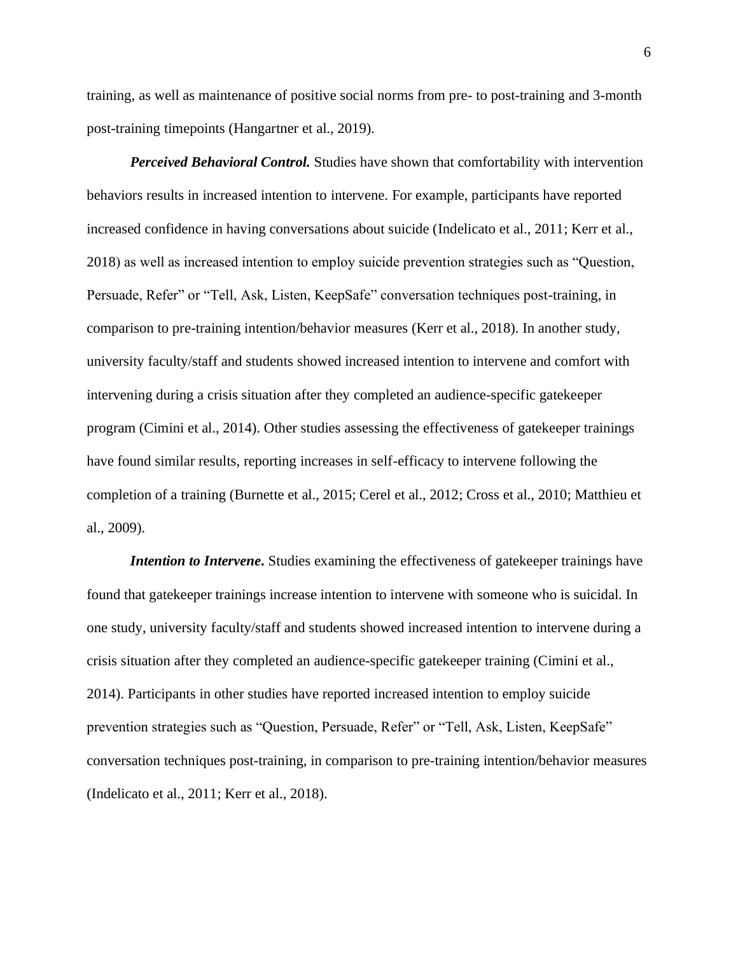training, as well as maintenance of positive social norms from pre- to post-training and 3-month post-training timepoints (Hangartner et al., 2019).

*Perceived Behavioral Control.* Studies have shown that comfortability with intervention behaviors results in increased intention to intervene. For example, participants have reported increased confidence in having conversations about suicide (Indelicato et al., 2011; Kerr et al., 2018) as well as increased intention to employ suicide prevention strategies such as "Question, Persuade, Refer" or "Tell, Ask, Listen, KeepSafe" conversation techniques post-training, in comparison to pre-training intention/behavior measures (Kerr et al., 2018). In another study, university faculty/staff and students showed increased intention to intervene and comfort with intervening during a crisis situation after they completed an audience-specific gatekeeper program (Cimini et al., 2014). Other studies assessing the effectiveness of gatekeeper trainings have found similar results, reporting increases in self-efficacy to intervene following the completion of a training (Burnette et al., 2015; Cerel et al., 2012; Cross et al., 2010; Matthieu et al., 2009).

*Intention to Intervene*. Studies examining the effectiveness of gatekeeper trainings have found that gatekeeper trainings increase intention to intervene with someone who is suicidal. In one study, university faculty/staff and students showed increased intention to intervene during a crisis situation after they completed an audience-specific gatekeeper training (Cimini et al., 2014). Participants in other studies have reported increased intention to employ suicide prevention strategies such as "Question, Persuade, Refer" or "Tell, Ask, Listen, KeepSafe" conversation techniques post-training, in comparison to pre-training intention/behavior measures (Indelicato et al., 2011; Kerr et al., 2018).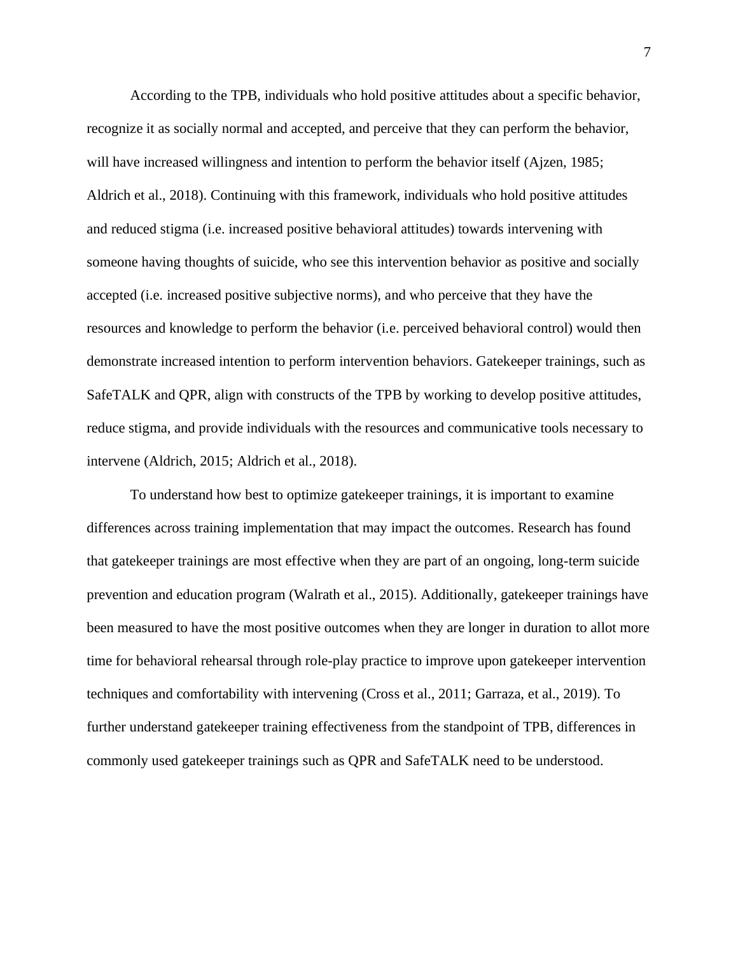According to the TPB, individuals who hold positive attitudes about a specific behavior, recognize it as socially normal and accepted, and perceive that they can perform the behavior, will have increased willingness and intention to perform the behavior itself (Ajzen, 1985; Aldrich et al., 2018). Continuing with this framework, individuals who hold positive attitudes and reduced stigma (i.e. increased positive behavioral attitudes) towards intervening with someone having thoughts of suicide, who see this intervention behavior as positive and socially accepted (i.e. increased positive subjective norms), and who perceive that they have the resources and knowledge to perform the behavior (i.e. perceived behavioral control) would then demonstrate increased intention to perform intervention behaviors. Gatekeeper trainings, such as SafeTALK and QPR, align with constructs of the TPB by working to develop positive attitudes, reduce stigma, and provide individuals with the resources and communicative tools necessary to intervene (Aldrich, 2015; Aldrich et al., 2018).

To understand how best to optimize gatekeeper trainings, it is important to examine differences across training implementation that may impact the outcomes. Research has found that gatekeeper trainings are most effective when they are part of an ongoing, long-term suicide prevention and education program (Walrath et al., 2015). Additionally, gatekeeper trainings have been measured to have the most positive outcomes when they are longer in duration to allot more time for behavioral rehearsal through role-play practice to improve upon gatekeeper intervention techniques and comfortability with intervening (Cross et al., 2011; Garraza, et al., 2019). To further understand gatekeeper training effectiveness from the standpoint of TPB, differences in commonly used gatekeeper trainings such as QPR and SafeTALK need to be understood.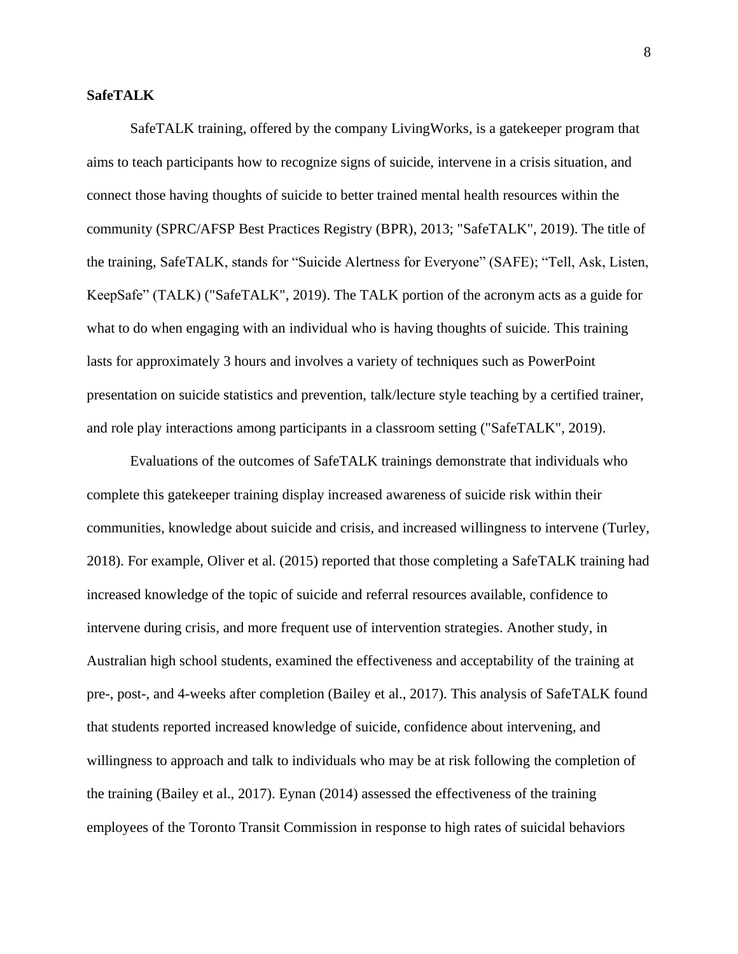#### **SafeTALK**

SafeTALK training, offered by the company LivingWorks, is a gatekeeper program that aims to teach participants how to recognize signs of suicide, intervene in a crisis situation, and connect those having thoughts of suicide to better trained mental health resources within the community (SPRC/AFSP Best Practices Registry (BPR), 2013; "SafeTALK", 2019). The title of the training, SafeTALK, stands for "Suicide Alertness for Everyone" (SAFE); "Tell, Ask, Listen, KeepSafe" (TALK) ("SafeTALK", 2019). The TALK portion of the acronym acts as a guide for what to do when engaging with an individual who is having thoughts of suicide. This training lasts for approximately 3 hours and involves a variety of techniques such as PowerPoint presentation on suicide statistics and prevention, talk/lecture style teaching by a certified trainer, and role play interactions among participants in a classroom setting ("SafeTALK", 2019).

Evaluations of the outcomes of SafeTALK trainings demonstrate that individuals who complete this gatekeeper training display increased awareness of suicide risk within their communities, knowledge about suicide and crisis, and increased willingness to intervene (Turley, 2018). For example, Oliver et al. (2015) reported that those completing a SafeTALK training had increased knowledge of the topic of suicide and referral resources available, confidence to intervene during crisis, and more frequent use of intervention strategies. Another study, in Australian high school students, examined the effectiveness and acceptability of the training at pre-, post-, and 4-weeks after completion (Bailey et al., 2017). This analysis of SafeTALK found that students reported increased knowledge of suicide, confidence about intervening, and willingness to approach and talk to individuals who may be at risk following the completion of the training (Bailey et al., 2017). Eynan (2014) assessed the effectiveness of the training employees of the Toronto Transit Commission in response to high rates of suicidal behaviors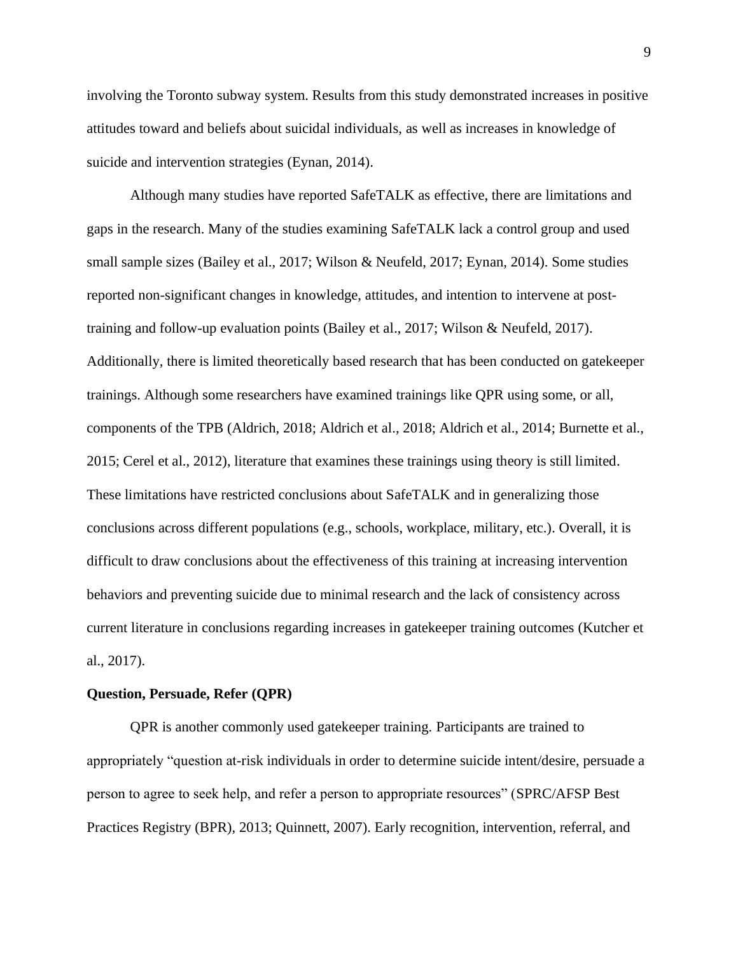involving the Toronto subway system. Results from this study demonstrated increases in positive attitudes toward and beliefs about suicidal individuals, as well as increases in knowledge of suicide and intervention strategies (Eynan, 2014).

Although many studies have reported SafeTALK as effective, there are limitations and gaps in the research. Many of the studies examining SafeTALK lack a control group and used small sample sizes (Bailey et al., 2017; Wilson & Neufeld, 2017; Eynan, 2014). Some studies reported non-significant changes in knowledge, attitudes, and intention to intervene at posttraining and follow-up evaluation points (Bailey et al., 2017; Wilson & Neufeld, 2017). Additionally, there is limited theoretically based research that has been conducted on gatekeeper trainings. Although some researchers have examined trainings like QPR using some, or all, components of the TPB (Aldrich, 2018; Aldrich et al., 2018; Aldrich et al., 2014; Burnette et al., 2015; Cerel et al., 2012), literature that examines these trainings using theory is still limited. These limitations have restricted conclusions about SafeTALK and in generalizing those conclusions across different populations (e.g., schools, workplace, military, etc.). Overall, it is difficult to draw conclusions about the effectiveness of this training at increasing intervention behaviors and preventing suicide due to minimal research and the lack of consistency across current literature in conclusions regarding increases in gatekeeper training outcomes (Kutcher et al., 2017).

#### **Question, Persuade, Refer (QPR)**

QPR is another commonly used gatekeeper training. Participants are trained to appropriately "question at-risk individuals in order to determine suicide intent/desire, persuade a person to agree to seek help, and refer a person to appropriate resources" (SPRC/AFSP Best Practices Registry (BPR), 2013; Quinnett, 2007). Early recognition, intervention, referral, and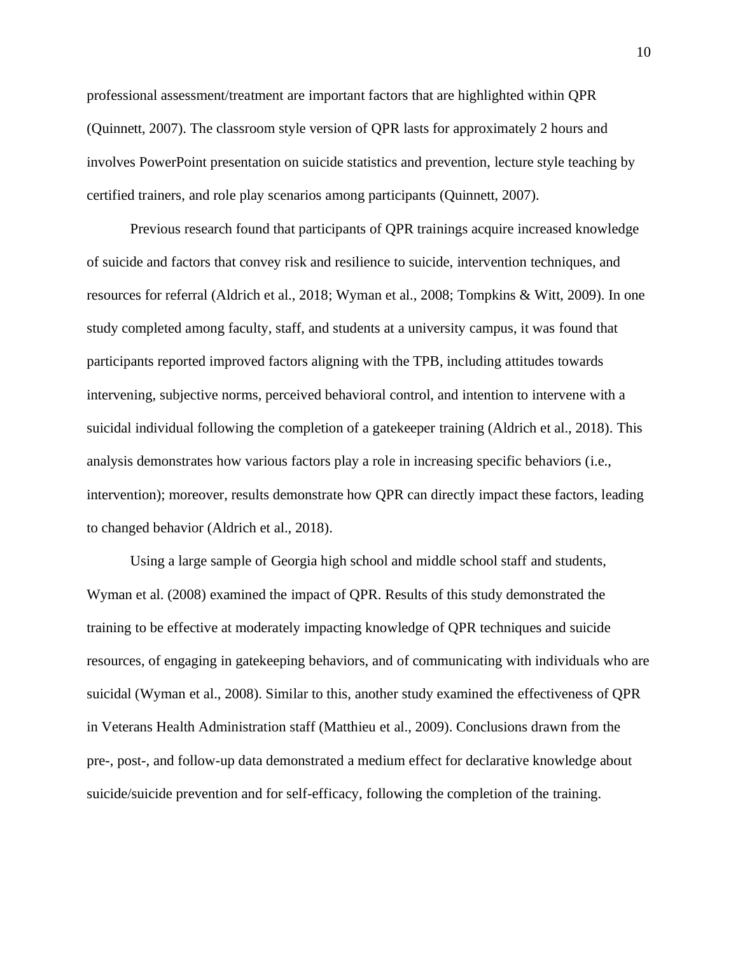professional assessment/treatment are important factors that are highlighted within QPR (Quinnett, 2007). The classroom style version of QPR lasts for approximately 2 hours and involves PowerPoint presentation on suicide statistics and prevention, lecture style teaching by certified trainers, and role play scenarios among participants (Quinnett, 2007).

Previous research found that participants of QPR trainings acquire increased knowledge of suicide and factors that convey risk and resilience to suicide, intervention techniques, and resources for referral (Aldrich et al., 2018; Wyman et al., 2008; Tompkins & Witt, 2009). In one study completed among faculty, staff, and students at a university campus, it was found that participants reported improved factors aligning with the TPB, including attitudes towards intervening, subjective norms, perceived behavioral control, and intention to intervene with a suicidal individual following the completion of a gatekeeper training (Aldrich et al., 2018). This analysis demonstrates how various factors play a role in increasing specific behaviors (i.e., intervention); moreover, results demonstrate how QPR can directly impact these factors, leading to changed behavior (Aldrich et al., 2018).

Using a large sample of Georgia high school and middle school staff and students, Wyman et al. (2008) examined the impact of QPR. Results of this study demonstrated the training to be effective at moderately impacting knowledge of QPR techniques and suicide resources, of engaging in gatekeeping behaviors, and of communicating with individuals who are suicidal (Wyman et al., 2008). Similar to this, another study examined the effectiveness of QPR in Veterans Health Administration staff (Matthieu et al., 2009). Conclusions drawn from the pre-, post-, and follow-up data demonstrated a medium effect for declarative knowledge about suicide/suicide prevention and for self-efficacy, following the completion of the training.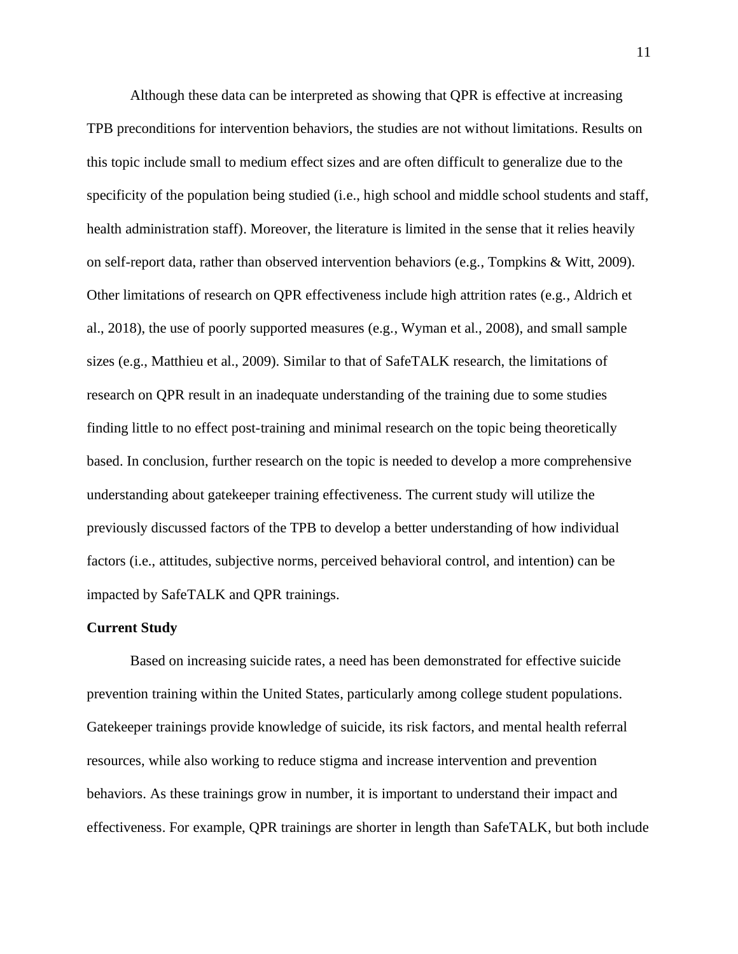Although these data can be interpreted as showing that QPR is effective at increasing TPB preconditions for intervention behaviors, the studies are not without limitations. Results on this topic include small to medium effect sizes and are often difficult to generalize due to the specificity of the population being studied (i.e., high school and middle school students and staff, health administration staff). Moreover, the literature is limited in the sense that it relies heavily on self-report data, rather than observed intervention behaviors (e.g., Tompkins & Witt, 2009). Other limitations of research on QPR effectiveness include high attrition rates (e.g., Aldrich et al., 2018), the use of poorly supported measures (e.g., Wyman et al., 2008), and small sample sizes (e.g., Matthieu et al., 2009). Similar to that of SafeTALK research, the limitations of research on QPR result in an inadequate understanding of the training due to some studies finding little to no effect post-training and minimal research on the topic being theoretically based. In conclusion, further research on the topic is needed to develop a more comprehensive understanding about gatekeeper training effectiveness. The current study will utilize the previously discussed factors of the TPB to develop a better understanding of how individual factors (i.e., attitudes, subjective norms, perceived behavioral control, and intention) can be impacted by SafeTALK and QPR trainings.

#### **Current Study**

Based on increasing suicide rates, a need has been demonstrated for effective suicide prevention training within the United States, particularly among college student populations. Gatekeeper trainings provide knowledge of suicide, its risk factors, and mental health referral resources, while also working to reduce stigma and increase intervention and prevention behaviors. As these trainings grow in number, it is important to understand their impact and effectiveness. For example, QPR trainings are shorter in length than SafeTALK, but both include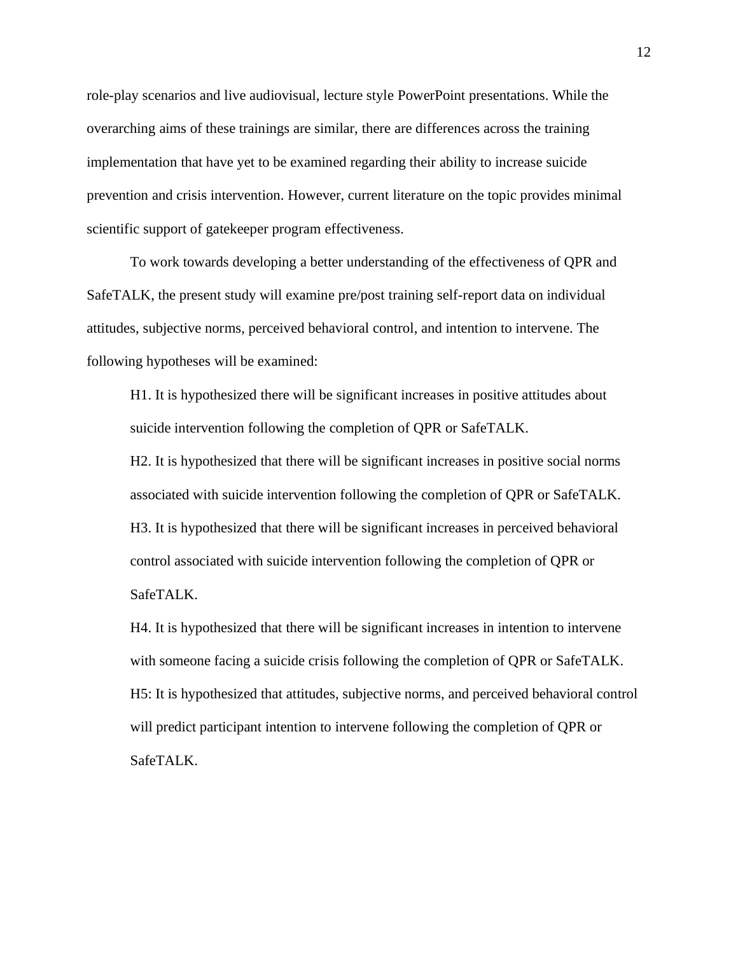role-play scenarios and live audiovisual, lecture style PowerPoint presentations. While the overarching aims of these trainings are similar, there are differences across the training implementation that have yet to be examined regarding their ability to increase suicide prevention and crisis intervention. However, current literature on the topic provides minimal scientific support of gatekeeper program effectiveness.

To work towards developing a better understanding of the effectiveness of QPR and SafeTALK, the present study will examine pre/post training self-report data on individual attitudes, subjective norms, perceived behavioral control, and intention to intervene. The following hypotheses will be examined:

H1. It is hypothesized there will be significant increases in positive attitudes about suicide intervention following the completion of QPR or SafeTALK.

H2. It is hypothesized that there will be significant increases in positive social norms associated with suicide intervention following the completion of QPR or SafeTALK. H3. It is hypothesized that there will be significant increases in perceived behavioral control associated with suicide intervention following the completion of QPR or SafeTALK.

H4. It is hypothesized that there will be significant increases in intention to intervene with someone facing a suicide crisis following the completion of QPR or SafeTALK. H5: It is hypothesized that attitudes, subjective norms, and perceived behavioral control will predict participant intention to intervene following the completion of QPR or SafeTALK.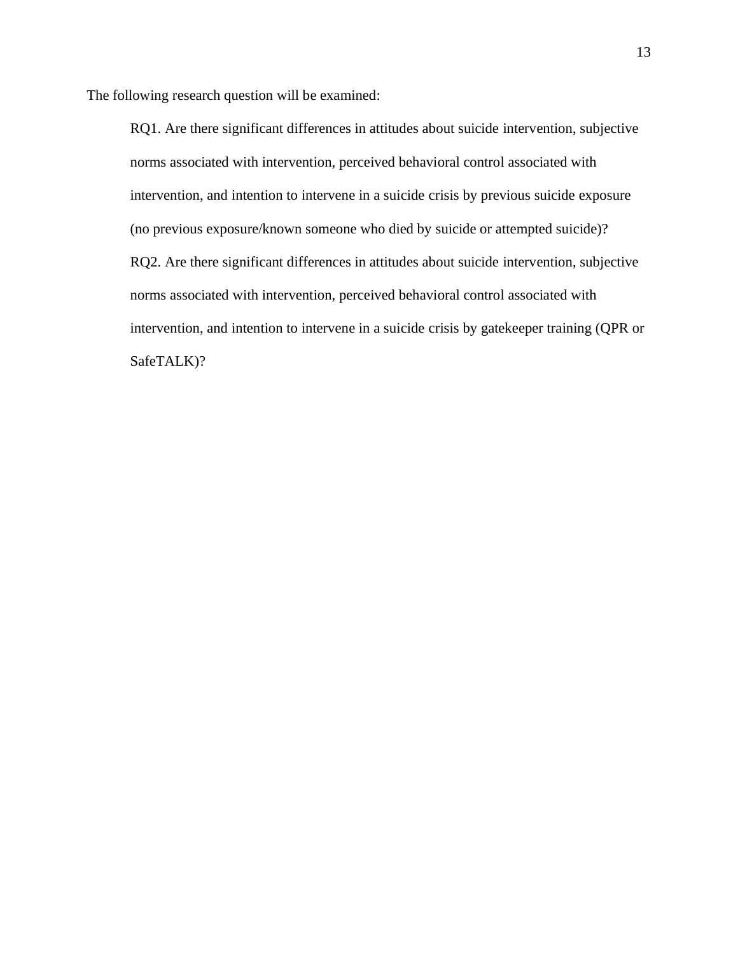The following research question will be examined:

RQ1. Are there significant differences in attitudes about suicide intervention, subjective norms associated with intervention, perceived behavioral control associated with intervention, and intention to intervene in a suicide crisis by previous suicide exposure (no previous exposure/known someone who died by suicide or attempted suicide)? RQ2. Are there significant differences in attitudes about suicide intervention, subjective norms associated with intervention, perceived behavioral control associated with intervention, and intention to intervene in a suicide crisis by gatekeeper training (QPR or SafeTALK)?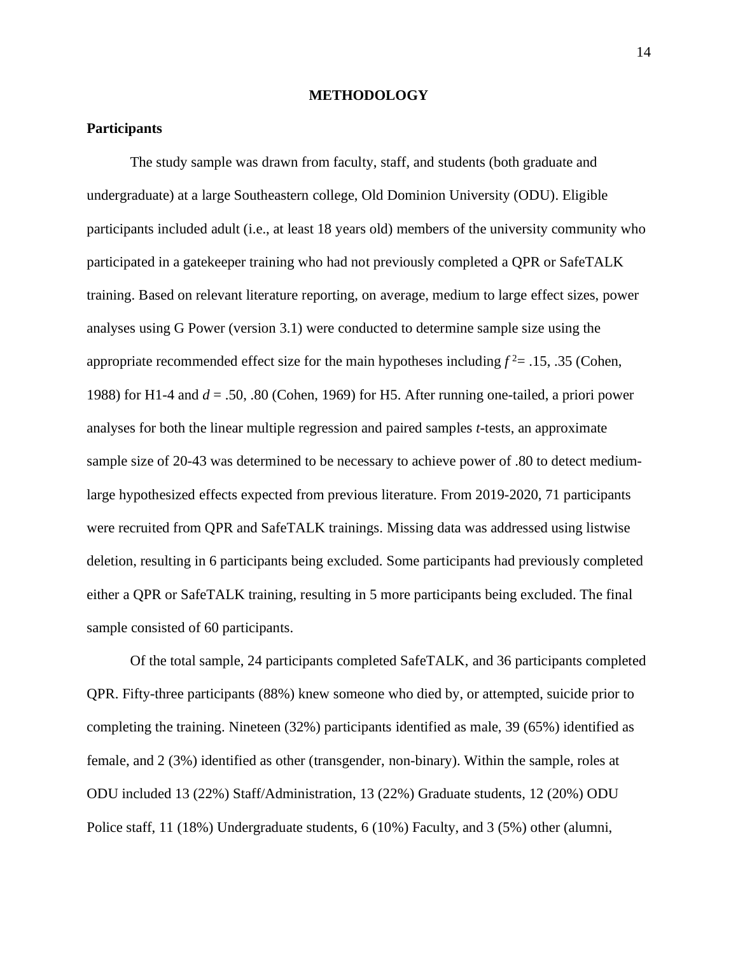#### **METHODOLOGY**

#### **Participants**

The study sample was drawn from faculty, staff, and students (both graduate and undergraduate) at a large Southeastern college, Old Dominion University (ODU). Eligible participants included adult (i.e., at least 18 years old) members of the university community who participated in a gatekeeper training who had not previously completed a QPR or SafeTALK training. Based on relevant literature reporting, on average, medium to large effect sizes, power analyses using G Power (version 3.1) were conducted to determine sample size using the appropriate recommended effect size for the main hypotheses including  $f^2 = .15, .35$  (Cohen, 1988) for H1-4 and *d* = .50, .80 (Cohen, 1969) for H5. After running one-tailed, a priori power analyses for both the linear multiple regression and paired samples *t*-tests, an approximate sample size of 20-43 was determined to be necessary to achieve power of .80 to detect mediumlarge hypothesized effects expected from previous literature. From 2019-2020, 71 participants were recruited from QPR and SafeTALK trainings. Missing data was addressed using listwise deletion, resulting in 6 participants being excluded. Some participants had previously completed either a QPR or SafeTALK training, resulting in 5 more participants being excluded. The final sample consisted of 60 participants.

Of the total sample, 24 participants completed SafeTALK, and 36 participants completed QPR. Fifty-three participants (88%) knew someone who died by, or attempted, suicide prior to completing the training. Nineteen (32%) participants identified as male, 39 (65%) identified as female, and 2 (3%) identified as other (transgender, non-binary). Within the sample, roles at ODU included 13 (22%) Staff/Administration, 13 (22%) Graduate students, 12 (20%) ODU Police staff, 11 (18%) Undergraduate students, 6 (10%) Faculty, and 3 (5%) other (alumni,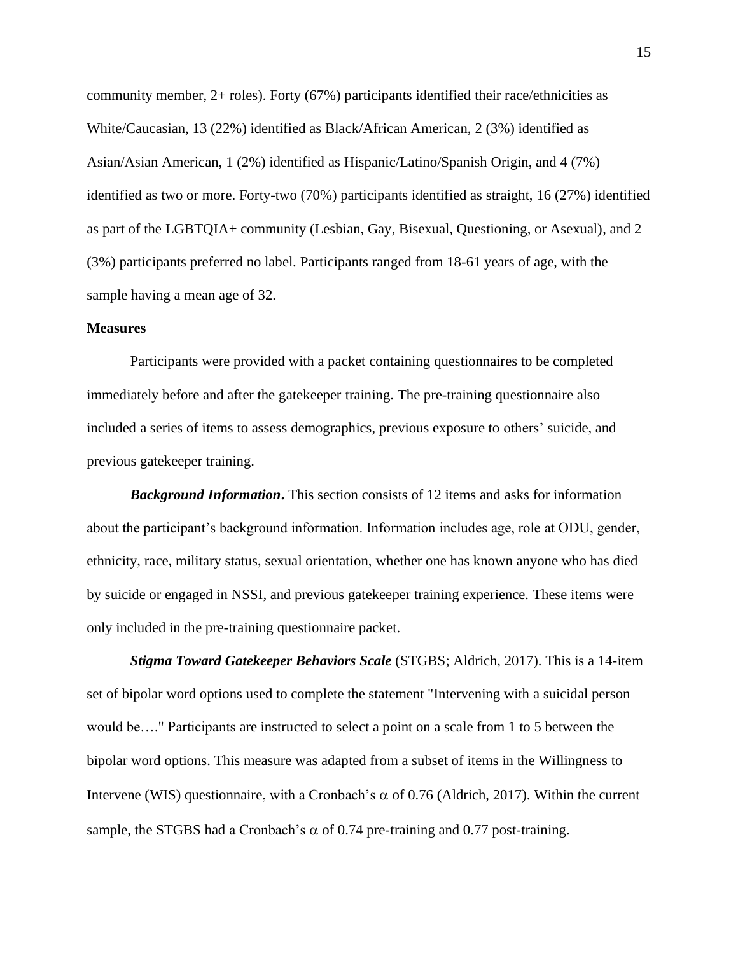community member, 2+ roles). Forty (67%) participants identified their race/ethnicities as White/Caucasian, 13 (22%) identified as Black/African American, 2 (3%) identified as Asian/Asian American, 1 (2%) identified as Hispanic/Latino/Spanish Origin, and 4 (7%) identified as two or more. Forty-two (70%) participants identified as straight, 16 (27%) identified as part of the LGBTQIA+ community (Lesbian, Gay, Bisexual, Questioning, or Asexual), and 2 (3%) participants preferred no label. Participants ranged from 18-61 years of age, with the sample having a mean age of 32.

#### **Measures**

Participants were provided with a packet containing questionnaires to be completed immediately before and after the gatekeeper training. The pre-training questionnaire also included a series of items to assess demographics, previous exposure to others' suicide, and previous gatekeeper training.

*Background Information***.** This section consists of 12 items and asks for information about the participant's background information. Information includes age, role at ODU, gender, ethnicity, race, military status, sexual orientation, whether one has known anyone who has died by suicide or engaged in NSSI, and previous gatekeeper training experience. These items were only included in the pre-training questionnaire packet.

*Stigma Toward Gatekeeper Behaviors Scale* (STGBS; Aldrich, 2017). This is a 14-item set of bipolar word options used to complete the statement "Intervening with a suicidal person would be…." Participants are instructed to select a point on a scale from 1 to 5 between the bipolar word options. This measure was adapted from a subset of items in the Willingness to Intervene (WIS) questionnaire, with a Cronbach's  $\alpha$  of 0.76 (Aldrich, 2017). Within the current sample, the STGBS had a Cronbach's  $\alpha$  of 0.74 pre-training and 0.77 post-training.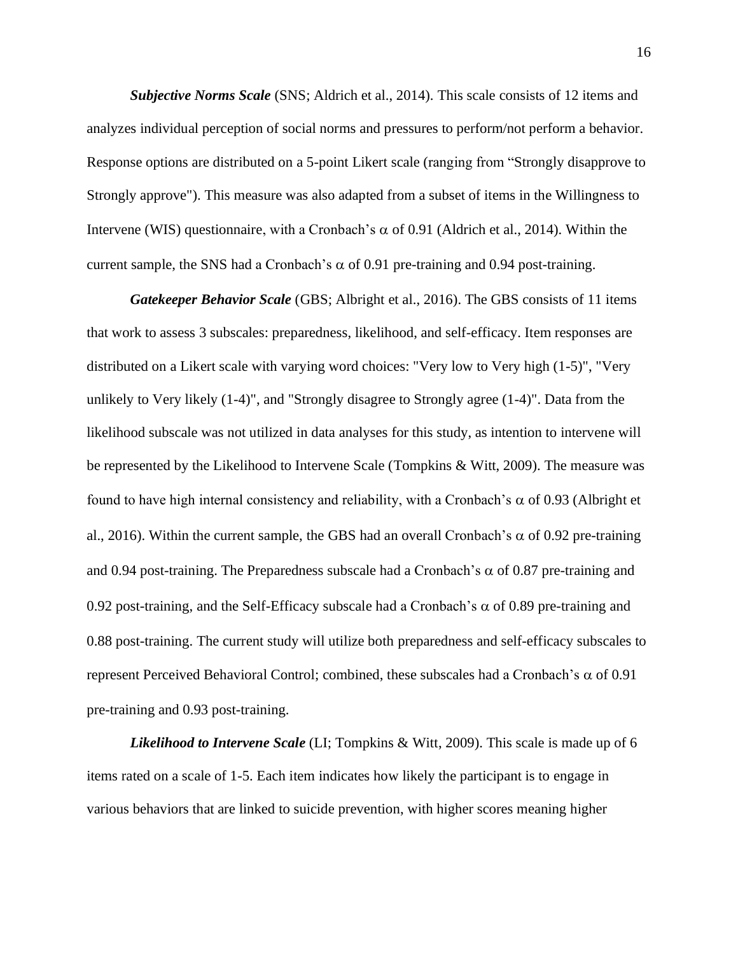*Subjective Norms Scale* (SNS; Aldrich et al., 2014). This scale consists of 12 items and analyzes individual perception of social norms and pressures to perform/not perform a behavior. Response options are distributed on a 5-point Likert scale (ranging from "Strongly disapprove to Strongly approve"). This measure was also adapted from a subset of items in the Willingness to Intervene (WIS) questionnaire, with a Cronbach's  $\alpha$  of 0.91 (Aldrich et al., 2014). Within the current sample, the SNS had a Cronbach's  $\alpha$  of 0.91 pre-training and 0.94 post-training.

*Gatekeeper Behavior Scale* (GBS; Albright et al., 2016). The GBS consists of 11 items that work to assess 3 subscales: preparedness, likelihood, and self-efficacy. Item responses are distributed on a Likert scale with varying word choices: "Very low to Very high (1-5)", "Very unlikely to Very likely (1-4)", and "Strongly disagree to Strongly agree (1-4)". Data from the likelihood subscale was not utilized in data analyses for this study, as intention to intervene will be represented by the Likelihood to Intervene Scale (Tompkins & Witt, 2009). The measure was found to have high internal consistency and reliability, with a Cronbach's  $\alpha$  of 0.93 (Albright et al., 2016). Within the current sample, the GBS had an overall Cronbach's  $\alpha$  of 0.92 pre-training and 0.94 post-training. The Preparedness subscale had a Cronbach's  $\alpha$  of 0.87 pre-training and 0.92 post-training, and the Self-Efficacy subscale had a Cronbach's  $\alpha$  of 0.89 pre-training and 0.88 post-training. The current study will utilize both preparedness and self-efficacy subscales to represent Perceived Behavioral Control; combined, these subscales had a Cronbach's  $\alpha$  of 0.91 pre-training and 0.93 post-training.

*Likelihood to Intervene Scale* (LI; Tompkins & Witt, 2009). This scale is made up of 6 items rated on a scale of 1-5. Each item indicates how likely the participant is to engage in various behaviors that are linked to suicide prevention, with higher scores meaning higher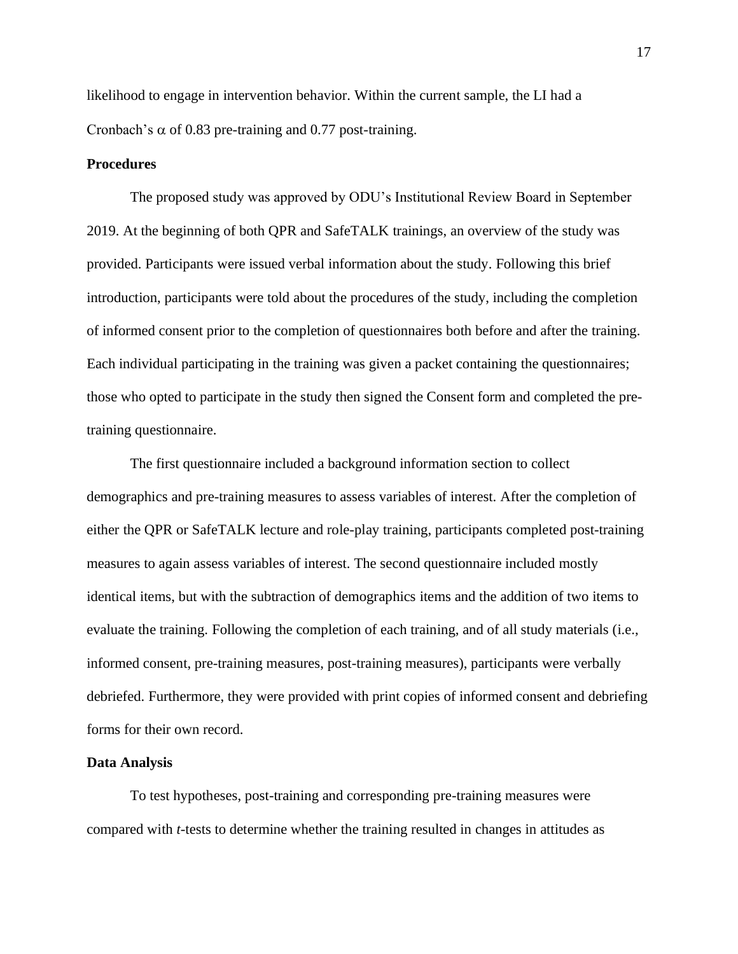likelihood to engage in intervention behavior. Within the current sample, the LI had a Cronbach's  $\alpha$  of 0.83 pre-training and 0.77 post-training.

#### **Procedures**

The proposed study was approved by ODU's Institutional Review Board in September 2019. At the beginning of both QPR and SafeTALK trainings, an overview of the study was provided. Participants were issued verbal information about the study. Following this brief introduction, participants were told about the procedures of the study, including the completion of informed consent prior to the completion of questionnaires both before and after the training. Each individual participating in the training was given a packet containing the questionnaires; those who opted to participate in the study then signed the Consent form and completed the pretraining questionnaire.

The first questionnaire included a background information section to collect demographics and pre-training measures to assess variables of interest. After the completion of either the QPR or SafeTALK lecture and role-play training, participants completed post-training measures to again assess variables of interest. The second questionnaire included mostly identical items, but with the subtraction of demographics items and the addition of two items to evaluate the training. Following the completion of each training, and of all study materials (i.e., informed consent, pre-training measures, post-training measures), participants were verbally debriefed. Furthermore, they were provided with print copies of informed consent and debriefing forms for their own record.

#### **Data Analysis**

To test hypotheses, post-training and corresponding pre-training measures were compared with *t*-tests to determine whether the training resulted in changes in attitudes as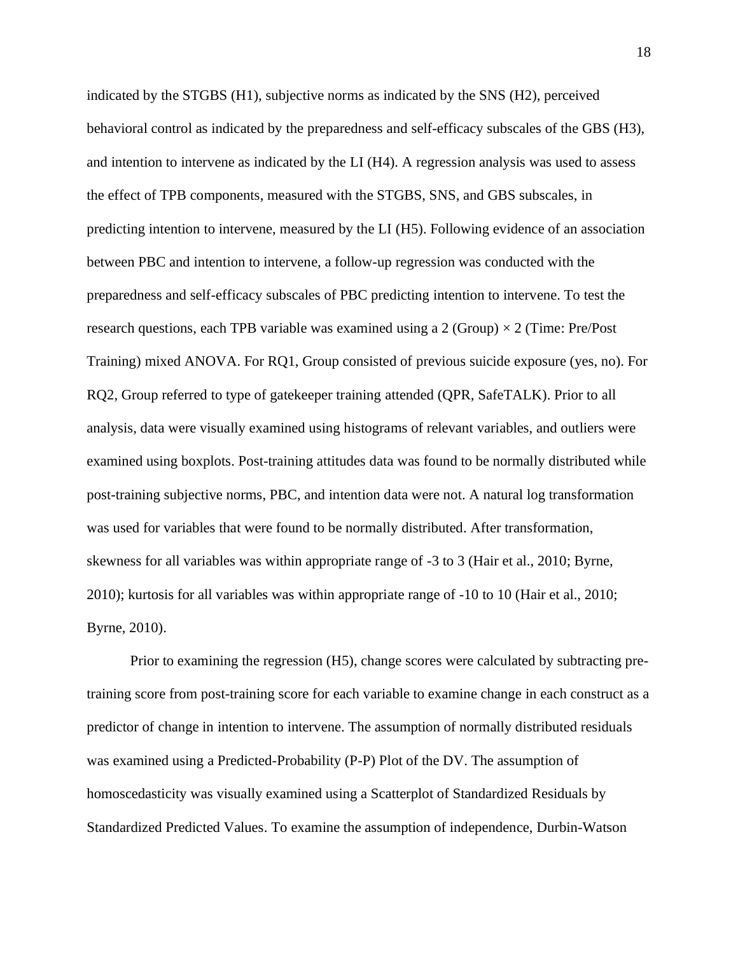indicated by the STGBS (H1), subjective norms as indicated by the SNS (H2), perceived behavioral control as indicated by the preparedness and self-efficacy subscales of the GBS (H3), and intention to intervene as indicated by the LI (H4). A regression analysis was used to assess the effect of TPB components, measured with the STGBS, SNS, and GBS subscales, in predicting intention to intervene, measured by the LI (H5). Following evidence of an association between PBC and intention to intervene, a follow-up regression was conducted with the preparedness and self-efficacy subscales of PBC predicting intention to intervene. To test the research questions, each TPB variable was examined using a 2 (Group)  $\times$  2 (Time: Pre/Post Training) mixed ANOVA. For RQ1, Group consisted of previous suicide exposure (yes, no). For RQ2, Group referred to type of gatekeeper training attended (QPR, SafeTALK). Prior to all analysis, data were visually examined using histograms of relevant variables, and outliers were examined using boxplots. Post-training attitudes data was found to be normally distributed while post-training subjective norms, PBC, and intention data were not. A natural log transformation was used for variables that were found to be normally distributed. After transformation, skewness for all variables was within appropriate range of -3 to 3 (Hair et al., 2010; Byrne, 2010); kurtosis for all variables was within appropriate range of -10 to 10 (Hair et al., 2010; Byrne, 2010).

Prior to examining the regression (H5), change scores were calculated by subtracting pretraining score from post-training score for each variable to examine change in each construct as a predictor of change in intention to intervene. The assumption of normally distributed residuals was examined using a Predicted-Probability (P-P) Plot of the DV. The assumption of homoscedasticity was visually examined using a Scatterplot of Standardized Residuals by Standardized Predicted Values. To examine the assumption of independence, Durbin-Watson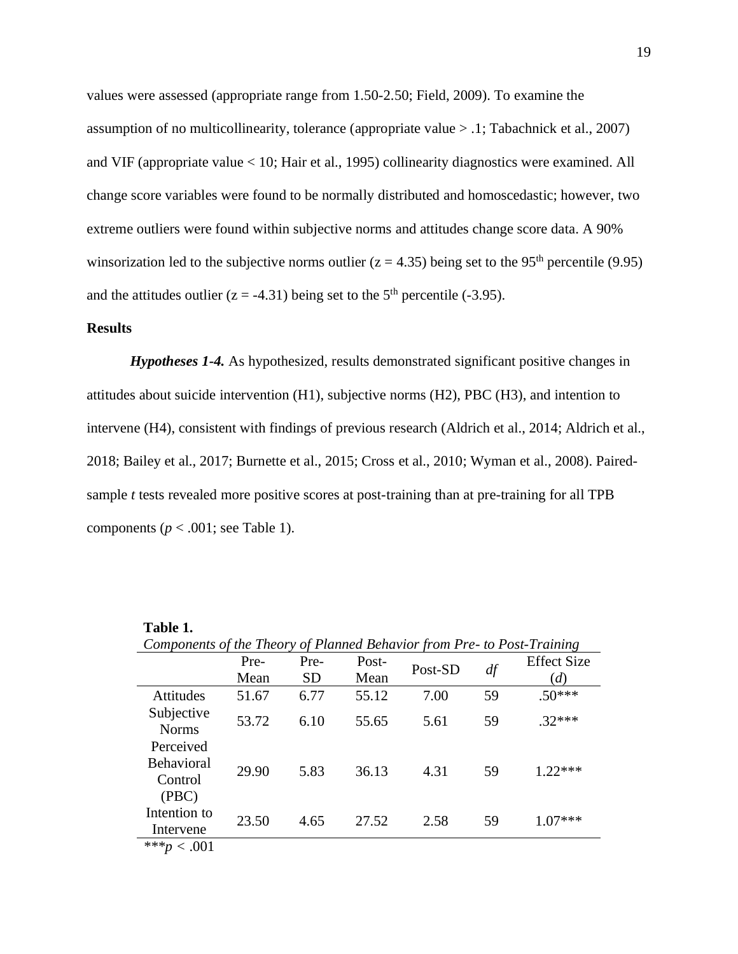values were assessed (appropriate range from 1.50-2.50; Field, 2009). To examine the assumption of no multicollinearity, tolerance (appropriate value > .1; Tabachnick et al., 2007) and VIF (appropriate value < 10; Hair et al., 1995) collinearity diagnostics were examined. All change score variables were found to be normally distributed and homoscedastic; however, two extreme outliers were found within subjective norms and attitudes change score data. A 90% winsorization led to the subjective norms outlier ( $z = 4.35$ ) being set to the 95<sup>th</sup> percentile (9.95) and the attitudes outlier ( $z = -4.31$ ) being set to the 5<sup>th</sup> percentile (-3.95).

#### **Results**

*Hypotheses 1-4.* As hypothesized, results demonstrated significant positive changes in attitudes about suicide intervention (H1), subjective norms (H2), PBC (H3), and intention to intervene (H4), consistent with findings of previous research (Aldrich et al., 2014; Aldrich et al., 2018; Bailey et al., 2017; Burnette et al., 2015; Cross et al., 2010; Wyman et al., 2008). Pairedsample *t* tests revealed more positive scores at post-training than at pre-training for all TPB components ( $p < .001$ ; see Table 1).

|                                                    | Components of the Theory of Planned Behavior from Pre- to Post-Training |           |       |         |    |                    |  |  |  |
|----------------------------------------------------|-------------------------------------------------------------------------|-----------|-------|---------|----|--------------------|--|--|--|
|                                                    | Pre-                                                                    | Pre-      | Post- |         |    | <b>Effect Size</b> |  |  |  |
|                                                    | Mean                                                                    | <b>SD</b> | Mean  | Post-SD | df | (d)                |  |  |  |
| Attitudes                                          | 51.67                                                                   | 6.77      | 55.12 | 7.00    | 59 | $.50***$           |  |  |  |
| Subjective<br><b>Norms</b>                         | 53.72                                                                   | 6.10      | 55.65 | 5.61    | 59 | $.32***$           |  |  |  |
| Perceived<br><b>Behavioral</b><br>Control<br>(PBC) | 29.90                                                                   | 5.83      | 36.13 | 4.31    | 59 | $1.22***$          |  |  |  |
| Intention to<br>Intervene                          | 23.50                                                                   | 4.65      | 27.52 | 2.58    | 59 | $1.07***$          |  |  |  |
| *** $p < .001$                                     |                                                                         |           |       |         |    |                    |  |  |  |

**Table 1.**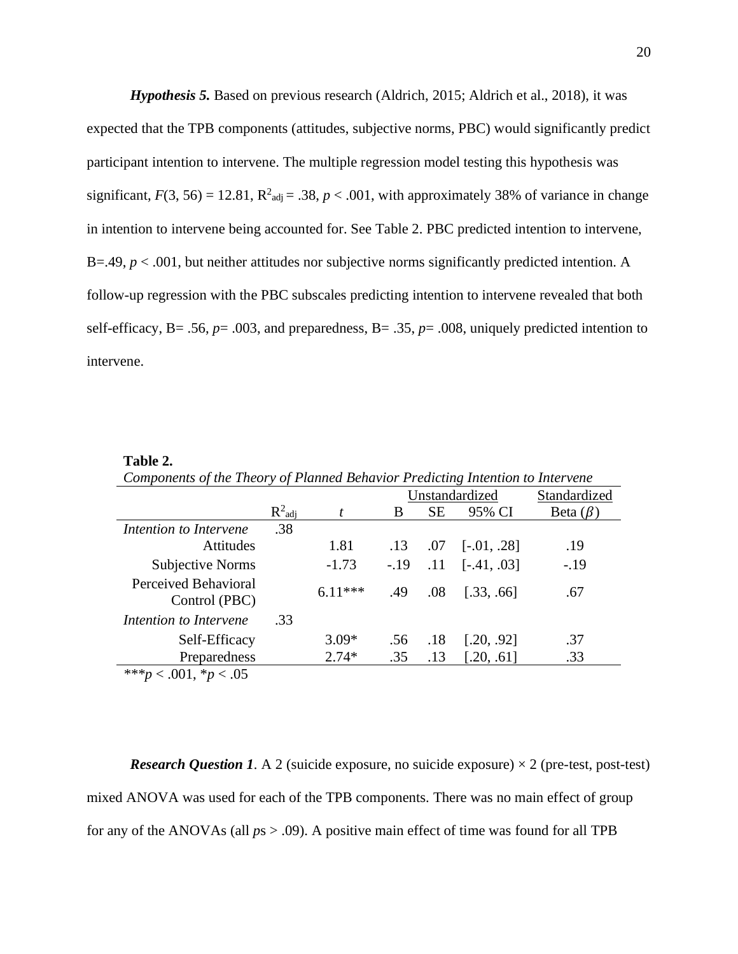*Hypothesis 5.* Based on previous research (Aldrich, 2015; Aldrich et al., 2018), it was expected that the TPB components (attitudes, subjective norms, PBC) would significantly predict participant intention to intervene. The multiple regression model testing this hypothesis was significant,  $F(3, 56) = 12.81$ ,  $R^2_{\text{adj}} = .38$ ,  $p < .001$ , with approximately 38% of variance in change in intention to intervene being accounted for. See Table 2. PBC predicted intention to intervene, B=.49,  $p < .001$ , but neither attitudes nor subjective norms significantly predicted intention. A follow-up regression with the PBC subscales predicting intention to intervene revealed that both self-efficacy, B= .56, *p*= .003, and preparedness, B= .35, *p*= .008, uniquely predicted intention to intervene.

#### **Table 2.**

|                                       |           |           | Unstandardized |           |                   | Standardized   |
|---------------------------------------|-----------|-----------|----------------|-----------|-------------------|----------------|
|                                       | $R^2$ adj |           | B              | <b>SE</b> | 95% CI            | Beta $(\beta)$ |
| Intention to Intervene                | .38       |           |                |           |                   |                |
| <b>Attitudes</b>                      |           | 1.81      | .13            | .07       | $[-.01, .28]$     | .19            |
| Subjective Norms                      |           | $-1.73$   | $-.19$         |           | $.11$ [-.41, .03] | $-.19$         |
| Perceived Behavioral<br>Control (PBC) |           | $6.11***$ | .49            | .08       | [.33, .66]        | .67            |
| Intention to Intervene                | .33       |           |                |           |                   |                |
| Self-Efficacy                         |           | $3.09*$   | .56            | .18       | [.20, .92]        | .37            |
| Preparedness                          |           | $2.74*$   | .35            | .13       | [.20, .61]        | .33            |
| $< .001, *p < .05$<br>$***n$          |           |           |                |           |                   |                |

*Components of the Theory of Planned Behavior Predicting Intention to Intervene* 

*Research Question 1.* A 2 (suicide exposure, no suicide exposure)  $\times$  2 (pre-test, post-test) mixed ANOVA was used for each of the TPB components. There was no main effect of group for any of the ANOVAs (all  $ps > .09$ ). A positive main effect of time was found for all TPB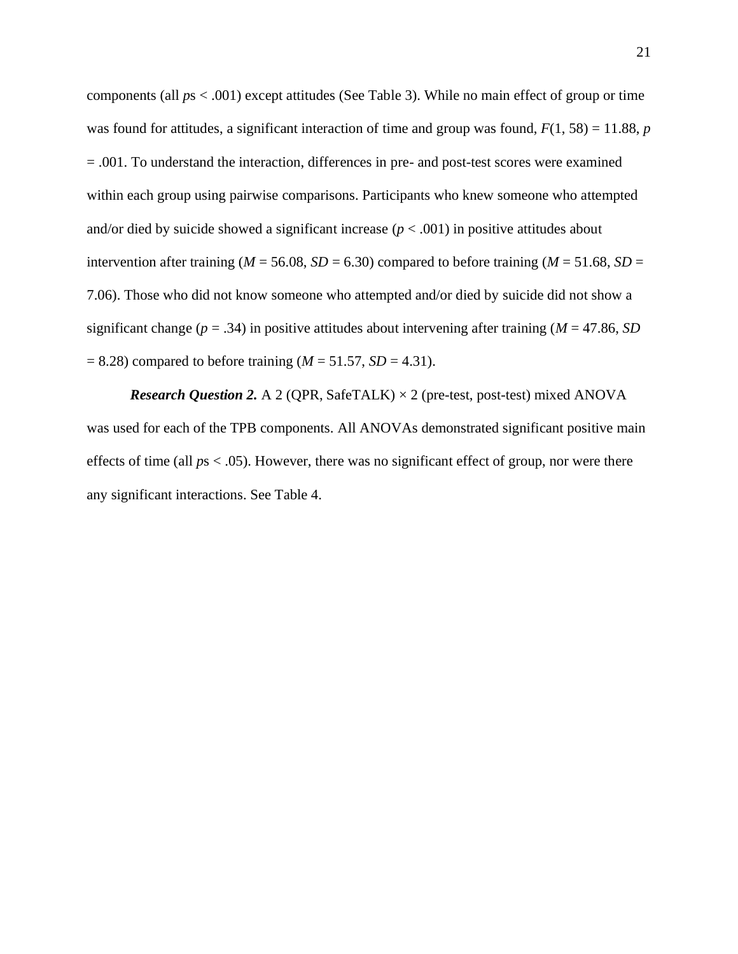components (all *p*s < .001) except attitudes (See Table 3). While no main effect of group or time was found for attitudes, a significant interaction of time and group was found, *F*(1, 58) = 11.88, *p* = .001. To understand the interaction, differences in pre- and post-test scores were examined within each group using pairwise comparisons. Participants who knew someone who attempted and/or died by suicide showed a significant increase  $(p < .001)$  in positive attitudes about intervention after training ( $M = 56.08$ ,  $SD = 6.30$ ) compared to before training ( $M = 51.68$ ,  $SD =$ 7.06). Those who did not know someone who attempted and/or died by suicide did not show a significant change ( $p = .34$ ) in positive attitudes about intervening after training ( $M = 47.86$ , *SD*)  $= 8.28$ ) compared to before training ( $M = 51.57$ ,  $SD = 4.31$ ).

*Research Question 2.* A 2 (QPR, SafeTALK)  $\times$  2 (pre-test, post-test) mixed ANOVA was used for each of the TPB components. All ANOVAs demonstrated significant positive main effects of time (all *p*s < .05). However, there was no significant effect of group, nor were there any significant interactions. See Table 4.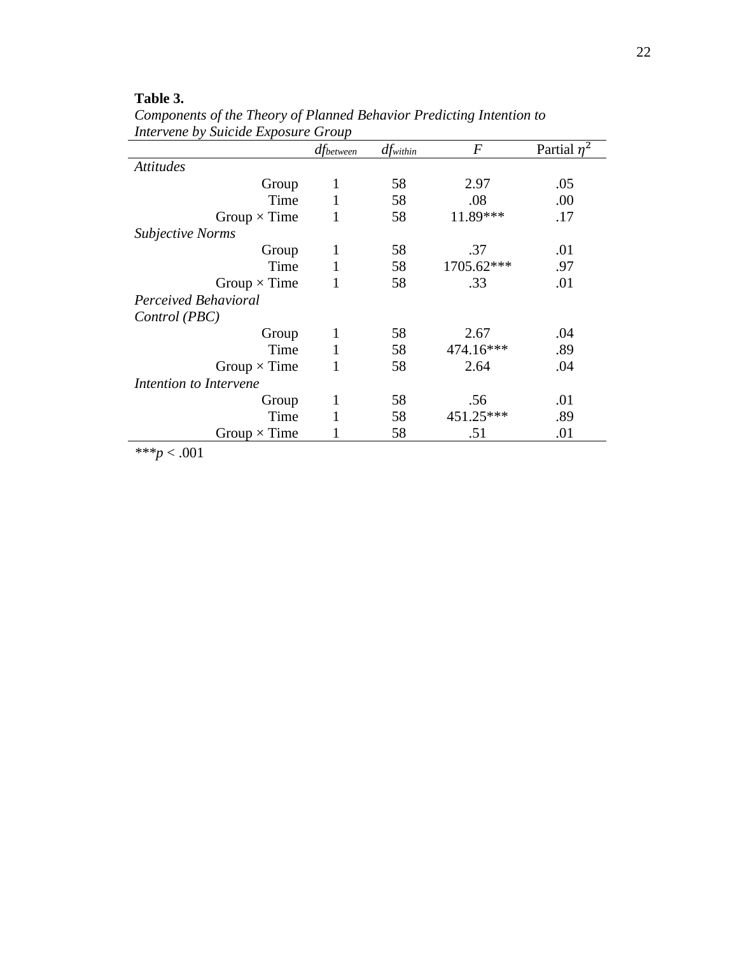## **Table 3.**

|                         | dfbetween | $df_{within}$ | F          | Partial $n^2$ |
|-------------------------|-----------|---------------|------------|---------------|
| <b>Attitudes</b>        |           |               |            |               |
| Group                   | 1         | 58            | 2.97       | .05           |
| Time                    |           | 58            | .08        | .00           |
| Group $\times$ Time     |           | 58            | 11.89***   | .17           |
| <b>Subjective Norms</b> |           |               |            |               |
| Group                   | 1         | 58            | .37        | .01           |
| Time                    |           | 58            | 1705.62*** | .97           |
| Group $\times$ Time     |           | 58            | .33        | .01           |
| Perceived Behavioral    |           |               |            |               |
| Control (PBC)           |           |               |            |               |
| Group                   | 1         | 58            | 2.67       | .04           |
| Time                    |           | 58            | 474.16***  | .89           |
| Group $\times$ Time     |           | 58            | 2.64       | .04           |
| Intention to Intervene  |           |               |            |               |
| Group                   | 1         | 58            | .56        | .01           |
| Time                    |           | 58            | 451.25***  | .89           |
| Group $\times$ Time     |           | 58            | .51        | .01           |

*Components of the Theory of Planned Behavior Predicting Intention to Intervene by Suicide Exposure Group*

*\*\*\*p* < .001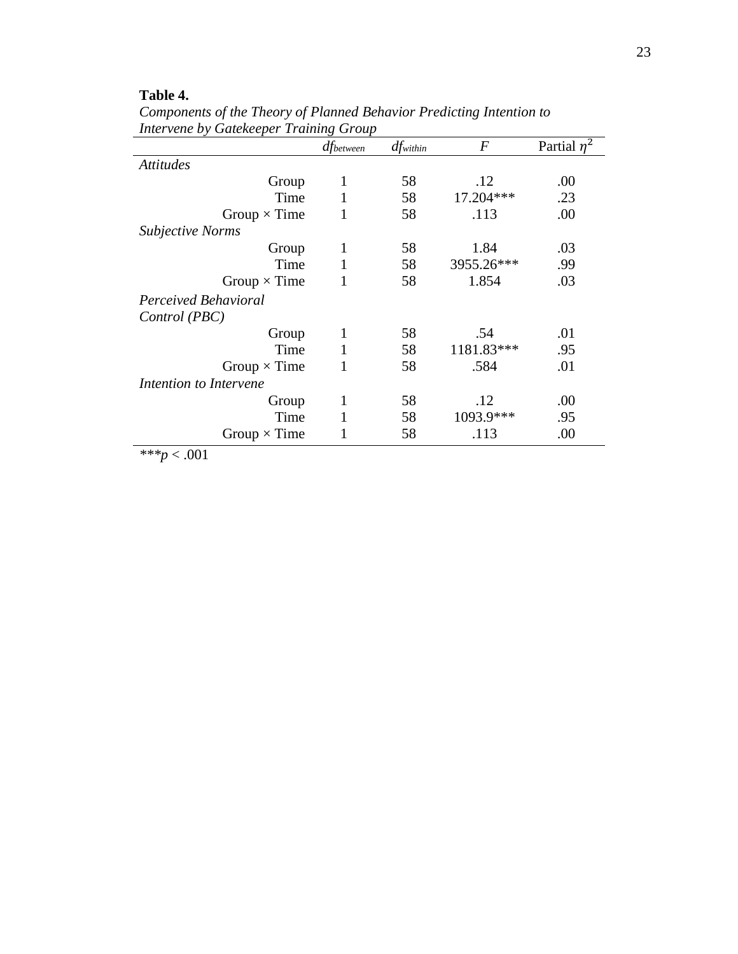## **Table 4.**

*Components of the Theory of Planned Behavior Predicting Intention to Intervene by Gatekeeper Training Group* 

|                         | dfbetween | $df_{within}$ | $\overline{F}$ | Partial $\eta^2$ |
|-------------------------|-----------|---------------|----------------|------------------|
| <b>Attitudes</b>        |           |               |                |                  |
| Group                   | 1         | 58            | .12            | .00              |
| Time                    | 1         | 58            | 17.204***      | .23              |
| Group $\times$ Time     |           | 58            | .113           | .00              |
| <b>Subjective Norms</b> |           |               |                |                  |
| Group                   | 1         | 58            | 1.84           | .03              |
| Time                    |           | 58            | 3955.26***     | .99              |
| Group $\times$ Time     |           | 58            | 1.854          | .03              |
| Perceived Behavioral    |           |               |                |                  |
| Control (PBC)           |           |               |                |                  |
| Group                   | 1         | 58            | .54            | .01              |
| Time                    | 1         | 58            | 1181.83***     | .95              |
| Group $\times$ Time     |           | 58            | .584           | .01              |
| Intention to Intervene  |           |               |                |                  |
| Group                   | 1         | 58            | .12            | .00              |
| Time                    |           | 58            | 1093.9***      | .95              |
| Group $\times$ Time     |           | 58            | .113           | .00              |

*\*\*\*p* < .001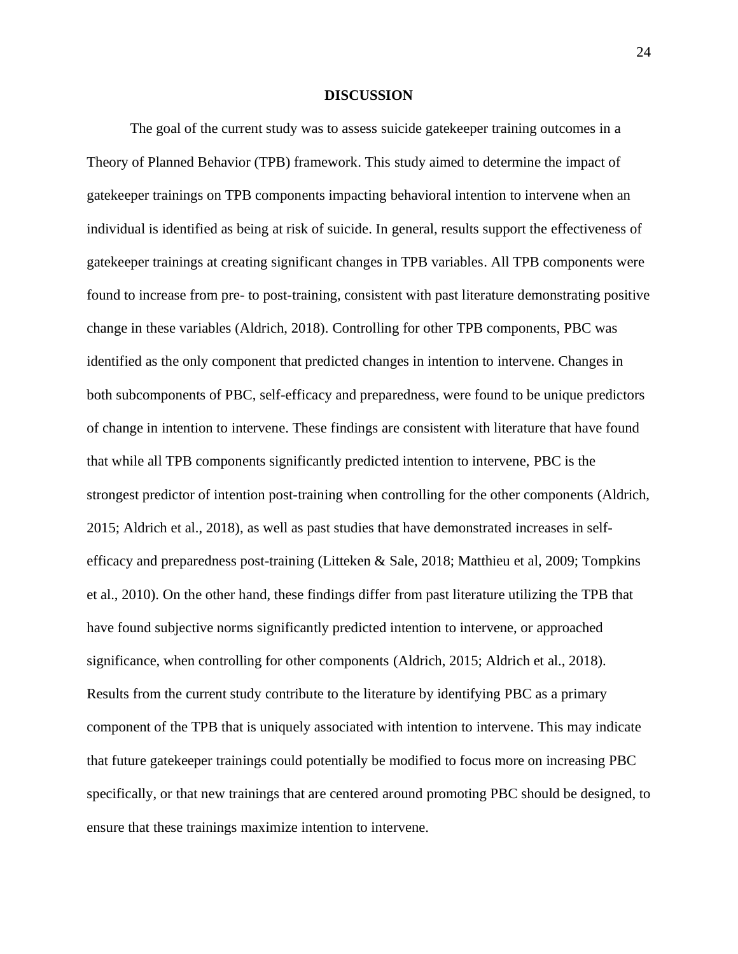#### **DISCUSSION**

The goal of the current study was to assess suicide gatekeeper training outcomes in a Theory of Planned Behavior (TPB) framework. This study aimed to determine the impact of gatekeeper trainings on TPB components impacting behavioral intention to intervene when an individual is identified as being at risk of suicide. In general, results support the effectiveness of gatekeeper trainings at creating significant changes in TPB variables. All TPB components were found to increase from pre- to post-training, consistent with past literature demonstrating positive change in these variables (Aldrich, 2018). Controlling for other TPB components, PBC was identified as the only component that predicted changes in intention to intervene. Changes in both subcomponents of PBC, self-efficacy and preparedness, were found to be unique predictors of change in intention to intervene. These findings are consistent with literature that have found that while all TPB components significantly predicted intention to intervene, PBC is the strongest predictor of intention post-training when controlling for the other components (Aldrich, 2015; Aldrich et al., 2018), as well as past studies that have demonstrated increases in selfefficacy and preparedness post-training (Litteken & Sale, 2018; Matthieu et al, 2009; Tompkins et al., 2010). On the other hand, these findings differ from past literature utilizing the TPB that have found subjective norms significantly predicted intention to intervene, or approached significance, when controlling for other components (Aldrich, 2015; Aldrich et al., 2018). Results from the current study contribute to the literature by identifying PBC as a primary component of the TPB that is uniquely associated with intention to intervene. This may indicate that future gatekeeper trainings could potentially be modified to focus more on increasing PBC specifically, or that new trainings that are centered around promoting PBC should be designed, to ensure that these trainings maximize intention to intervene.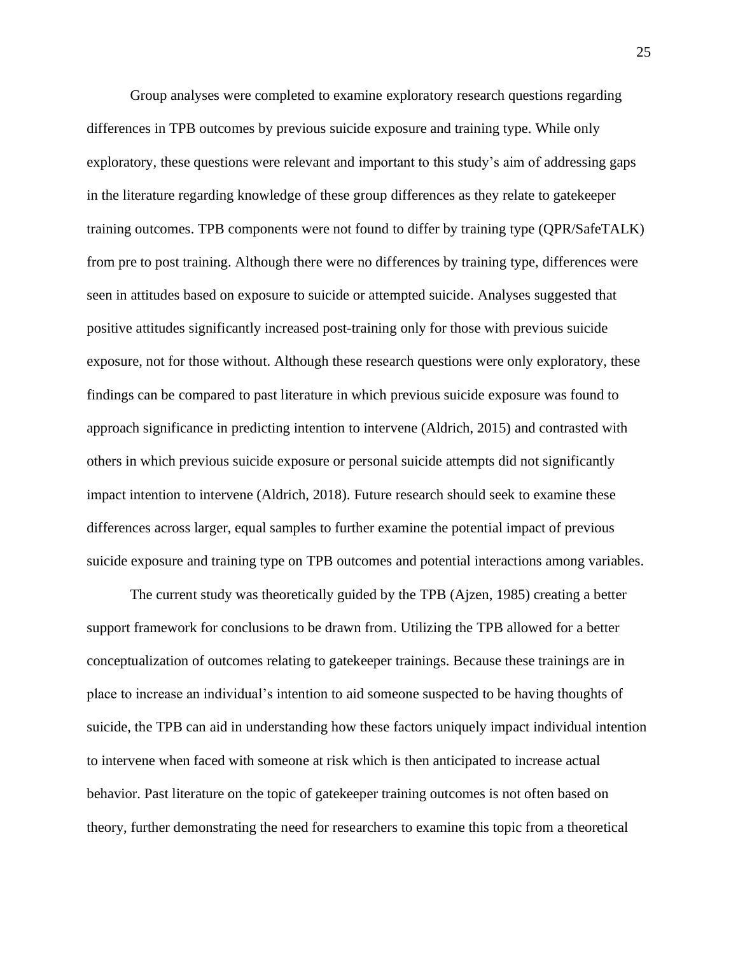Group analyses were completed to examine exploratory research questions regarding differences in TPB outcomes by previous suicide exposure and training type. While only exploratory, these questions were relevant and important to this study's aim of addressing gaps in the literature regarding knowledge of these group differences as they relate to gatekeeper training outcomes. TPB components were not found to differ by training type (QPR/SafeTALK) from pre to post training. Although there were no differences by training type, differences were seen in attitudes based on exposure to suicide or attempted suicide. Analyses suggested that positive attitudes significantly increased post-training only for those with previous suicide exposure, not for those without. Although these research questions were only exploratory, these findings can be compared to past literature in which previous suicide exposure was found to approach significance in predicting intention to intervene (Aldrich, 2015) and contrasted with others in which previous suicide exposure or personal suicide attempts did not significantly impact intention to intervene (Aldrich, 2018). Future research should seek to examine these differences across larger, equal samples to further examine the potential impact of previous suicide exposure and training type on TPB outcomes and potential interactions among variables.

The current study was theoretically guided by the TPB (Ajzen, 1985) creating a better support framework for conclusions to be drawn from. Utilizing the TPB allowed for a better conceptualization of outcomes relating to gatekeeper trainings. Because these trainings are in place to increase an individual's intention to aid someone suspected to be having thoughts of suicide, the TPB can aid in understanding how these factors uniquely impact individual intention to intervene when faced with someone at risk which is then anticipated to increase actual behavior. Past literature on the topic of gatekeeper training outcomes is not often based on theory, further demonstrating the need for researchers to examine this topic from a theoretical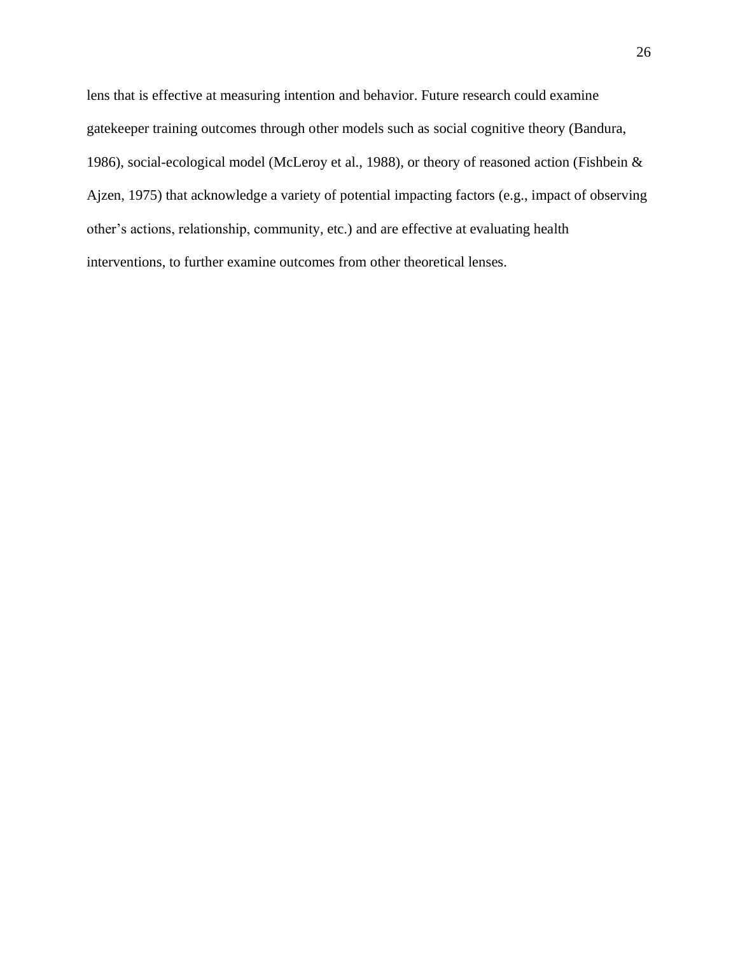lens that is effective at measuring intention and behavior. Future research could examine gatekeeper training outcomes through other models such as social cognitive theory (Bandura, 1986), social-ecological model (McLeroy et al., 1988), or theory of reasoned action (Fishbein & Ajzen, 1975) that acknowledge a variety of potential impacting factors (e.g., impact of observing other's actions, relationship, community, etc.) and are effective at evaluating health interventions, to further examine outcomes from other theoretical lenses.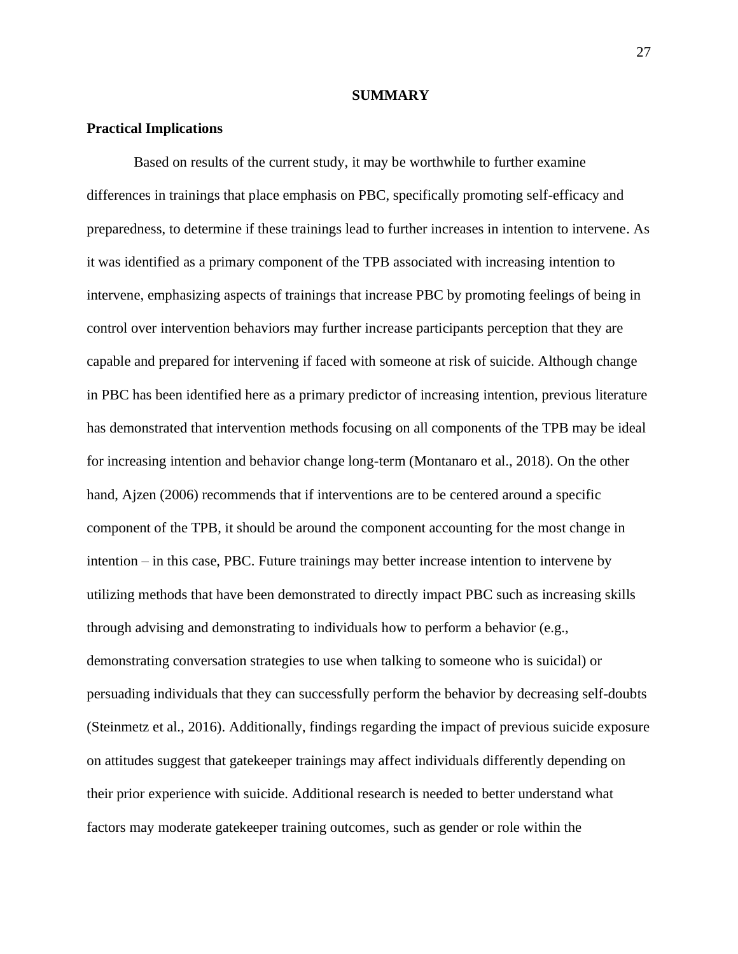#### **SUMMARY**

#### **Practical Implications**

Based on results of the current study, it may be worthwhile to further examine differences in trainings that place emphasis on PBC, specifically promoting self-efficacy and preparedness, to determine if these trainings lead to further increases in intention to intervene. As it was identified as a primary component of the TPB associated with increasing intention to intervene, emphasizing aspects of trainings that increase PBC by promoting feelings of being in control over intervention behaviors may further increase participants perception that they are capable and prepared for intervening if faced with someone at risk of suicide. Although change in PBC has been identified here as a primary predictor of increasing intention, previous literature has demonstrated that intervention methods focusing on all components of the TPB may be ideal for increasing intention and behavior change long-term (Montanaro et al., 2018). On the other hand, Ajzen (2006) recommends that if interventions are to be centered around a specific component of the TPB, it should be around the component accounting for the most change in intention – in this case, PBC. Future trainings may better increase intention to intervene by utilizing methods that have been demonstrated to directly impact PBC such as increasing skills through advising and demonstrating to individuals how to perform a behavior (e.g., demonstrating conversation strategies to use when talking to someone who is suicidal) or persuading individuals that they can successfully perform the behavior by decreasing self-doubts (Steinmetz et al., 2016). Additionally, findings regarding the impact of previous suicide exposure on attitudes suggest that gatekeeper trainings may affect individuals differently depending on their prior experience with suicide. Additional research is needed to better understand what factors may moderate gatekeeper training outcomes, such as gender or role within the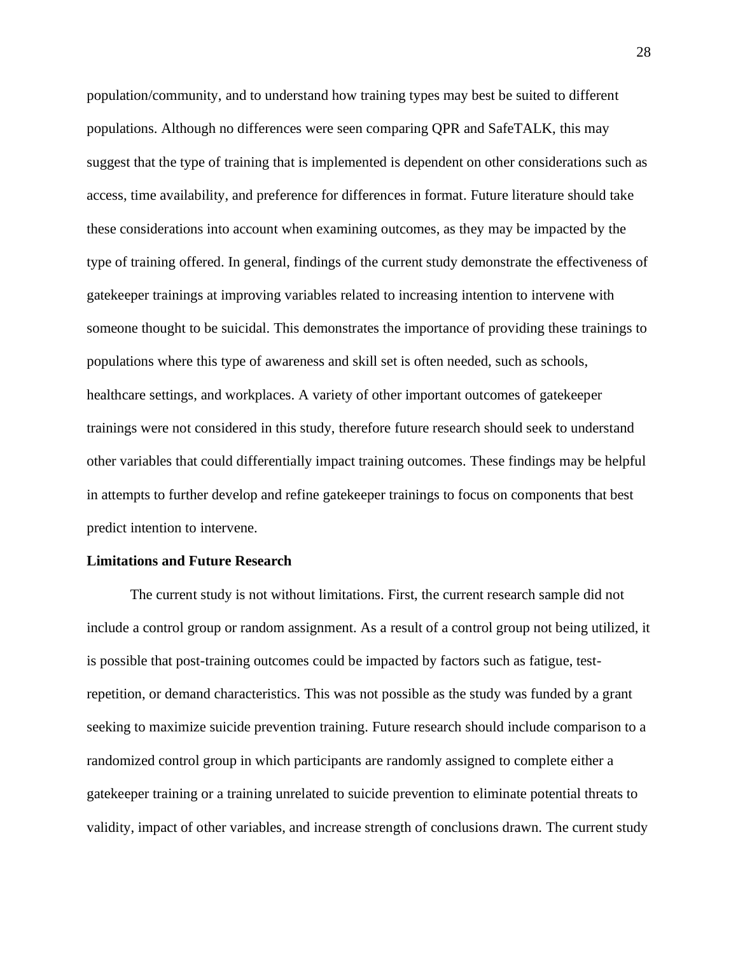population/community, and to understand how training types may best be suited to different populations. Although no differences were seen comparing QPR and SafeTALK, this may suggest that the type of training that is implemented is dependent on other considerations such as access, time availability, and preference for differences in format. Future literature should take these considerations into account when examining outcomes, as they may be impacted by the type of training offered. In general, findings of the current study demonstrate the effectiveness of gatekeeper trainings at improving variables related to increasing intention to intervene with someone thought to be suicidal. This demonstrates the importance of providing these trainings to populations where this type of awareness and skill set is often needed, such as schools, healthcare settings, and workplaces. A variety of other important outcomes of gatekeeper trainings were not considered in this study, therefore future research should seek to understand other variables that could differentially impact training outcomes. These findings may be helpful in attempts to further develop and refine gatekeeper trainings to focus on components that best predict intention to intervene.

#### **Limitations and Future Research**

The current study is not without limitations. First, the current research sample did not include a control group or random assignment. As a result of a control group not being utilized, it is possible that post-training outcomes could be impacted by factors such as fatigue, testrepetition, or demand characteristics. This was not possible as the study was funded by a grant seeking to maximize suicide prevention training. Future research should include comparison to a randomized control group in which participants are randomly assigned to complete either a gatekeeper training or a training unrelated to suicide prevention to eliminate potential threats to validity, impact of other variables, and increase strength of conclusions drawn. The current study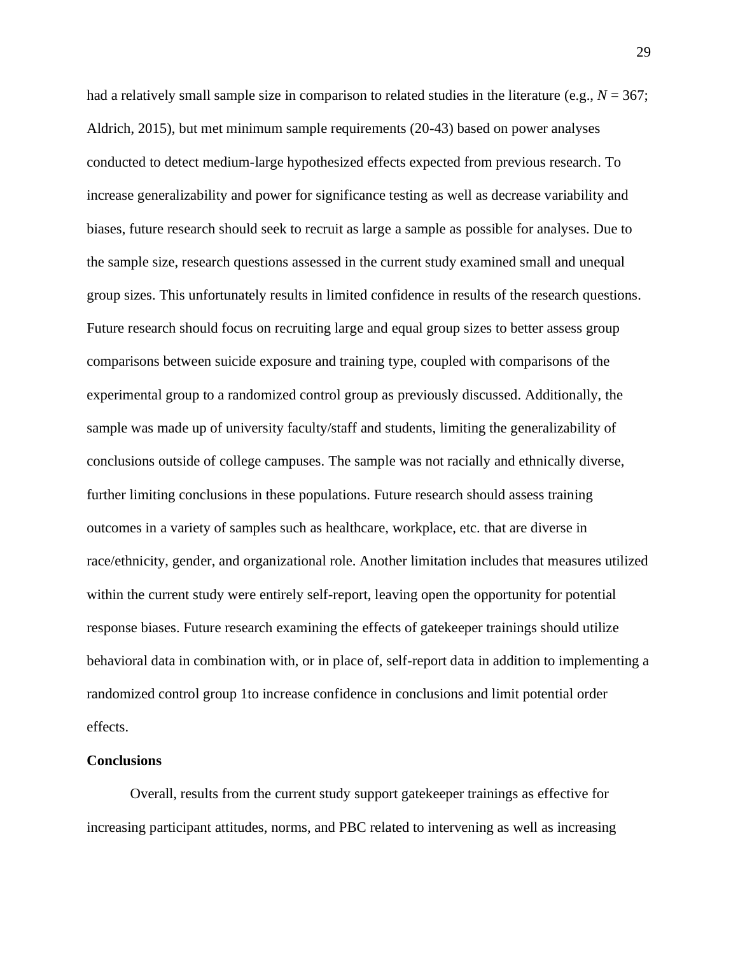had a relatively small sample size in comparison to related studies in the literature (e.g.,  $N = 367$ ; Aldrich, 2015), but met minimum sample requirements (20-43) based on power analyses conducted to detect medium-large hypothesized effects expected from previous research. To increase generalizability and power for significance testing as well as decrease variability and biases, future research should seek to recruit as large a sample as possible for analyses. Due to the sample size, research questions assessed in the current study examined small and unequal group sizes. This unfortunately results in limited confidence in results of the research questions. Future research should focus on recruiting large and equal group sizes to better assess group comparisons between suicide exposure and training type, coupled with comparisons of the experimental group to a randomized control group as previously discussed. Additionally, the sample was made up of university faculty/staff and students, limiting the generalizability of conclusions outside of college campuses. The sample was not racially and ethnically diverse, further limiting conclusions in these populations. Future research should assess training outcomes in a variety of samples such as healthcare, workplace, etc. that are diverse in race/ethnicity, gender, and organizational role. Another limitation includes that measures utilized within the current study were entirely self-report, leaving open the opportunity for potential response biases. Future research examining the effects of gatekeeper trainings should utilize behavioral data in combination with, or in place of, self-report data in addition to implementing a randomized control group 1to increase confidence in conclusions and limit potential order effects.

#### **Conclusions**

Overall, results from the current study support gatekeeper trainings as effective for increasing participant attitudes, norms, and PBC related to intervening as well as increasing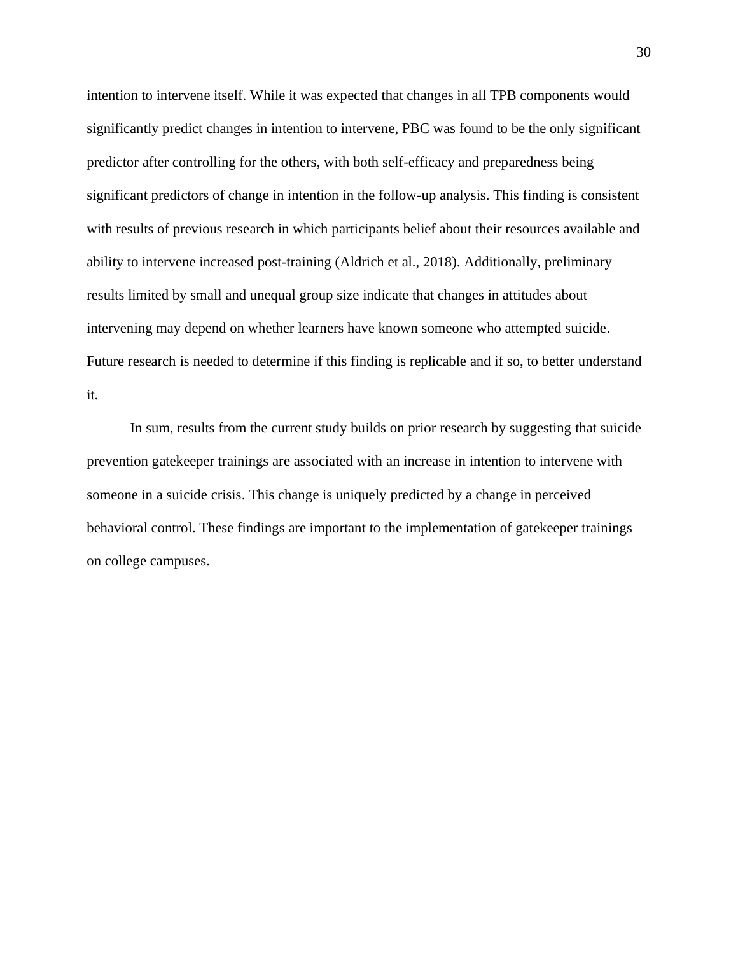intention to intervene itself. While it was expected that changes in all TPB components would significantly predict changes in intention to intervene, PBC was found to be the only significant predictor after controlling for the others, with both self-efficacy and preparedness being significant predictors of change in intention in the follow-up analysis. This finding is consistent with results of previous research in which participants belief about their resources available and ability to intervene increased post-training (Aldrich et al., 2018). Additionally, preliminary results limited by small and unequal group size indicate that changes in attitudes about intervening may depend on whether learners have known someone who attempted suicide. Future research is needed to determine if this finding is replicable and if so, to better understand it.

In sum, results from the current study builds on prior research by suggesting that suicide prevention gatekeeper trainings are associated with an increase in intention to intervene with someone in a suicide crisis. This change is uniquely predicted by a change in perceived behavioral control. These findings are important to the implementation of gatekeeper trainings on college campuses.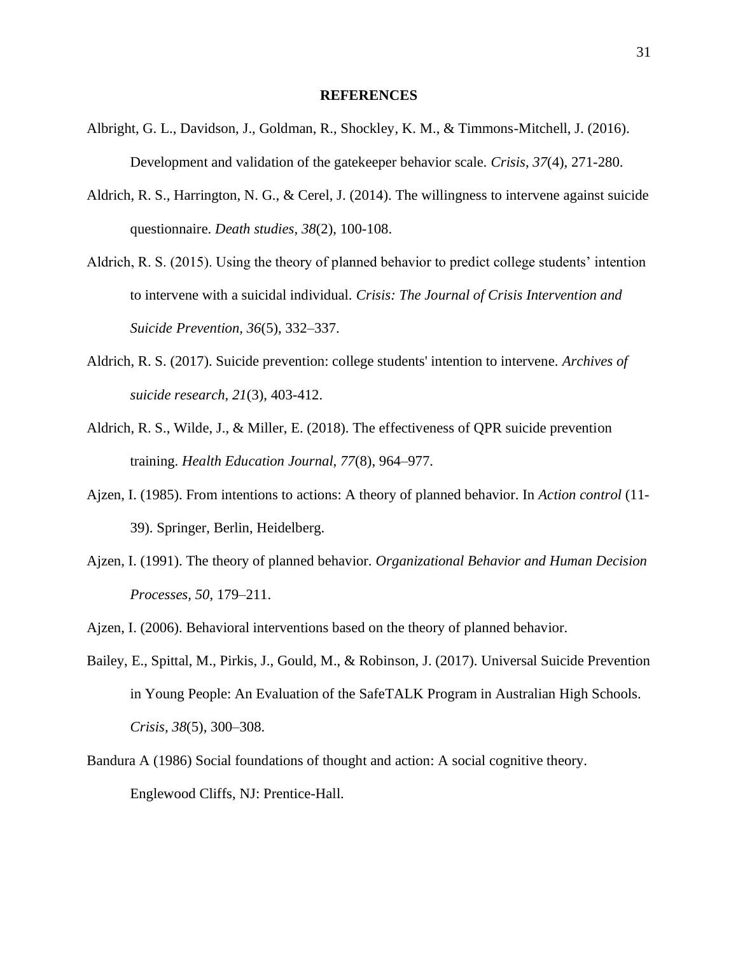#### **REFERENCES**

- Albright, G. L., Davidson, J., Goldman, R., Shockley, K. M., & Timmons-Mitchell, J. (2016). Development and validation of the gatekeeper behavior scale. *Crisis*, *37*(4), 271-280.
- Aldrich, R. S., Harrington, N. G., & Cerel, J. (2014). The willingness to intervene against suicide questionnaire. *Death studies, 38*(2), 100-108.
- Aldrich, R. S. (2015). Using the theory of planned behavior to predict college students' intention to intervene with a suicidal individual. *Crisis: The Journal of Crisis Intervention and Suicide Prevention, 36*(5), 332–337.
- Aldrich, R. S. (2017). Suicide prevention: college students' intention to intervene. *Archives of suicide research, 21*(3), 403-412.
- Aldrich, R. S., Wilde, J., & Miller, E. (2018). The effectiveness of QPR suicide prevention training. *Health Education Journal, 77*(8), 964–977.
- Ajzen, I. (1985). From intentions to actions: A theory of planned behavior. In *Action control* (11- 39). Springer, Berlin, Heidelberg.
- Ajzen, I. (1991). The theory of planned behavior. *Organizational Behavior and Human Decision Processes, 50*, 179–211.
- Ajzen, I. (2006). Behavioral interventions based on the theory of planned behavior.
- Bailey, E., Spittal, M., Pirkis, J., Gould, M., & Robinson, J. (2017). Universal Suicide Prevention in Young People: An Evaluation of the SafeTALK Program in Australian High Schools. *Crisis, 38*(5), 300–308.
- Bandura A (1986) Social foundations of thought and action: A social cognitive theory. Englewood Cliffs, NJ: Prentice-Hall.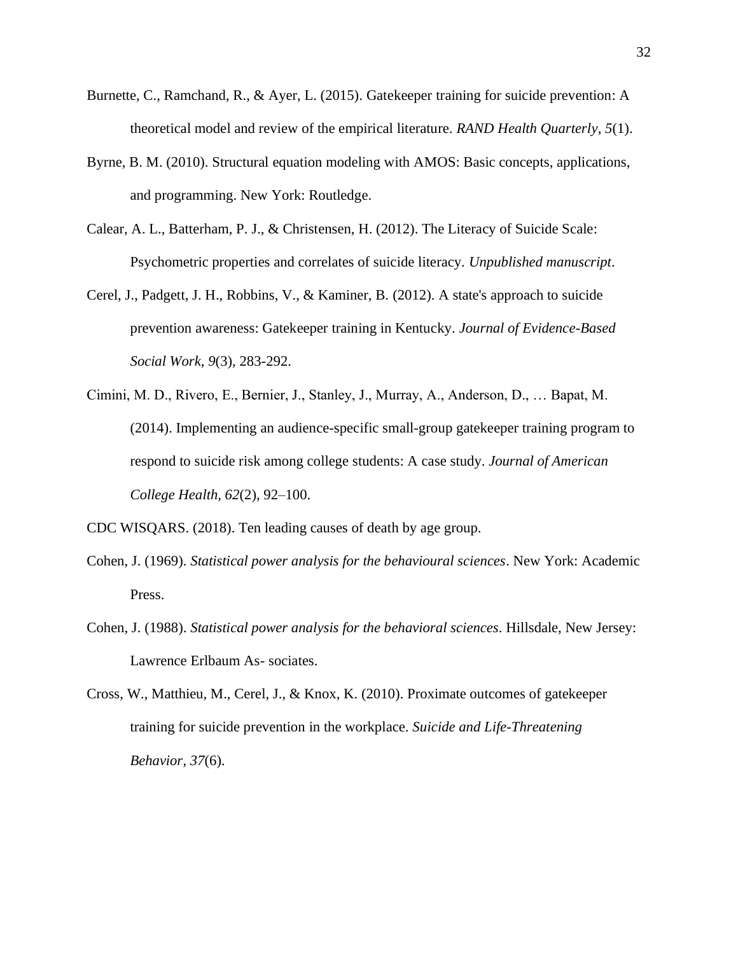- Burnette, C., Ramchand, R., & Ayer, L. (2015). Gatekeeper training for suicide prevention: A theoretical model and review of the empirical literature. *RAND Health Quarterly*, *5*(1).
- Byrne, B. M. (2010). Structural equation modeling with AMOS: Basic concepts, applications, and programming. New York: Routledge.
- Calear, A. L., Batterham, P. J., & Christensen, H. (2012). The Literacy of Suicide Scale: Psychometric properties and correlates of suicide literacy. *Unpublished manuscript*.
- Cerel, J., Padgett, J. H., Robbins, V., & Kaminer, B. (2012). A state's approach to suicide prevention awareness: Gatekeeper training in Kentucky. *Journal of Evidence-Based Social Work*, *9*(3), 283-292.
- Cimini, M. D., Rivero, E., Bernier, J., Stanley, J., Murray, A., Anderson, D., … Bapat, M. (2014). Implementing an audience-specific small-group gatekeeper training program to respond to suicide risk among college students: A case study. *Journal of American College Health, 62*(2), 92–100.

CDC WISQARS. (2018). Ten leading causes of death by age group.

- Cohen, J. (1969). *Statistical power analysis for the behavioural sciences*. New York: Academic Press.
- Cohen, J. (1988). *Statistical power analysis for the behavioral sciences*. Hillsdale, New Jersey: Lawrence Erlbaum As- sociates.
- Cross, W., Matthieu, M., Cerel, J., & Knox, K. (2010). Proximate outcomes of gatekeeper training for suicide prevention in the workplace. *Suicide and Life-Threatening Behavior*, *37*(6).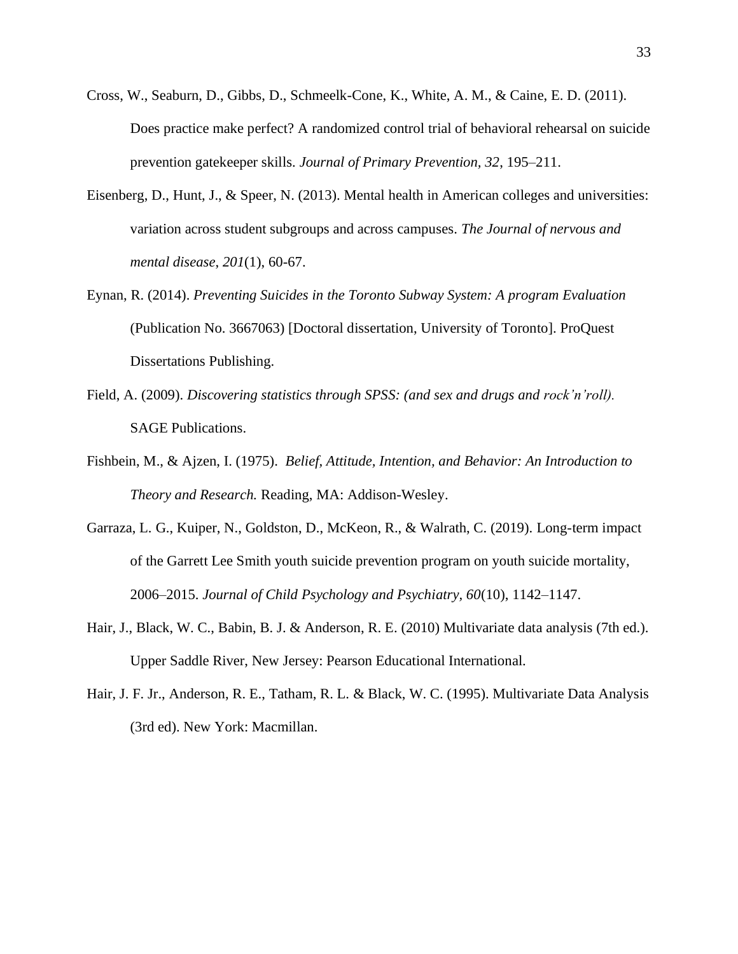- Cross, W., Seaburn, D., Gibbs, D., Schmeelk-Cone, K., White, A. M., & Caine, E. D. (2011). Does practice make perfect? A randomized control trial of behavioral rehearsal on suicide prevention gatekeeper skills. *Journal of Primary Prevention, 32*, 195–211.
- Eisenberg, D., Hunt, J., & Speer, N. (2013). Mental health in American colleges and universities: variation across student subgroups and across campuses. *The Journal of nervous and mental disease*, *201*(1), 60-67.
- Eynan, R. (2014). *Preventing Suicides in the Toronto Subway System: A program Evaluation*  (Publication No. 3667063) [Doctoral dissertation, University of Toronto]. ProQuest Dissertations Publishing.
- Field, A. (2009). *Discovering statistics through SPSS: (and sex and drugs and rock'n'roll).* SAGE Publications.
- Fishbein, M., & Ajzen, I. (1975). *Belief, Attitude, Intention, and Behavior: An Introduction to Theory and Research.* Reading, MA: Addison-Wesley.
- Garraza, L. G., Kuiper, N., Goldston, D., McKeon, R., & Walrath, C. (2019). Long-term impact of the Garrett Lee Smith youth suicide prevention program on youth suicide mortality, 2006–2015. *Journal of Child Psychology and Psychiatry, 60*(10), 1142–1147.
- Hair, J., Black, W. C., Babin, B. J. & Anderson, R. E. (2010) Multivariate data analysis (7th ed.). Upper Saddle River, New Jersey: Pearson Educational International.
- Hair, J. F. Jr., Anderson, R. E., Tatham, R. L. & Black, W. C. (1995). Multivariate Data Analysis (3rd ed). New York: Macmillan.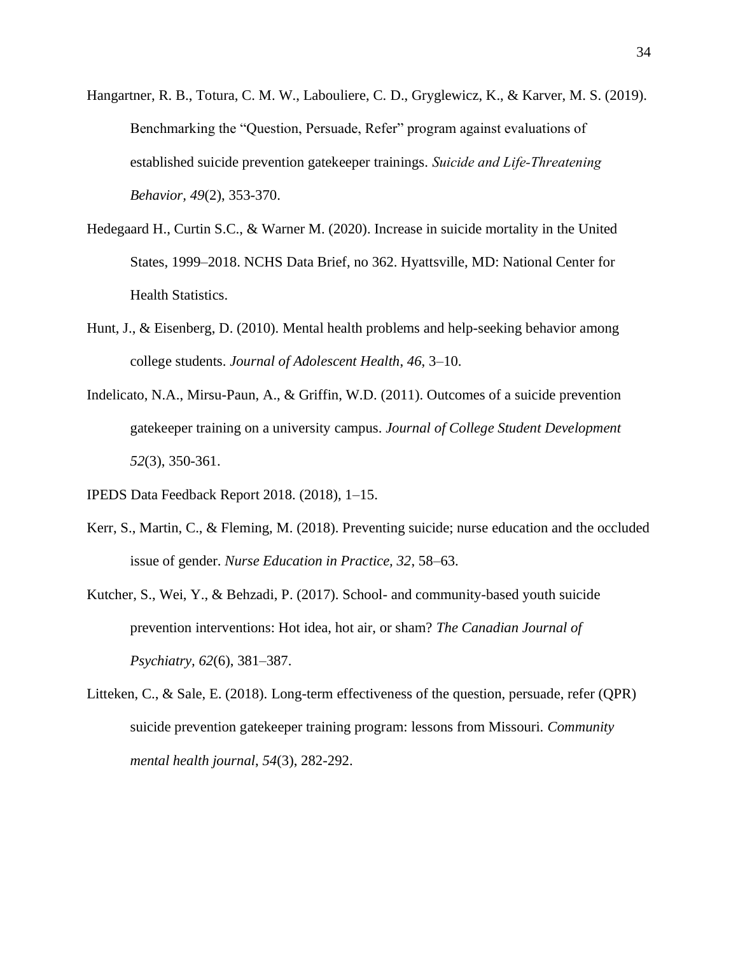- Hangartner, R. B., Totura, C. M. W., Labouliere, C. D., Gryglewicz, K., & Karver, M. S. (2019). Benchmarking the "Question, Persuade, Refer" program against evaluations of established suicide prevention gatekeeper trainings. *Suicide and Life‐Threatening Behavior, 49*(2), 353-370.
- Hedegaard H., Curtin S.C., & Warner M. (2020). Increase in suicide mortality in the United States, 1999–2018. NCHS Data Brief, no 362. Hyattsville, MD: National Center for Health Statistics.
- Hunt, J., & Eisenberg, D. (2010). Mental health problems and help-seeking behavior among college students. *Journal of Adolescent Health*, *46*, 3–10.
- Indelicato, N.A., Mirsu-Paun, A., & Griffin, W.D. (2011). Outcomes of a suicide prevention gatekeeper training on a university campus. *Journal of College Student Development 52*(3), 350-361.
- IPEDS Data Feedback Report 2018. (2018), 1–15.
- Kerr, S., Martin, C., & Fleming, M. (2018). Preventing suicide; nurse education and the occluded issue of gender. *Nurse Education in Practice, 32*, 58–63.
- Kutcher, S., Wei, Y., & Behzadi, P. (2017). School- and community-based youth suicide prevention interventions: Hot idea, hot air, or sham? *The Canadian Journal of Psychiatry, 62*(6), 381–387.
- Litteken, C., & Sale, E. (2018). Long-term effectiveness of the question, persuade, refer (QPR) suicide prevention gatekeeper training program: lessons from Missouri. *Community mental health journal*, *54*(3), 282-292.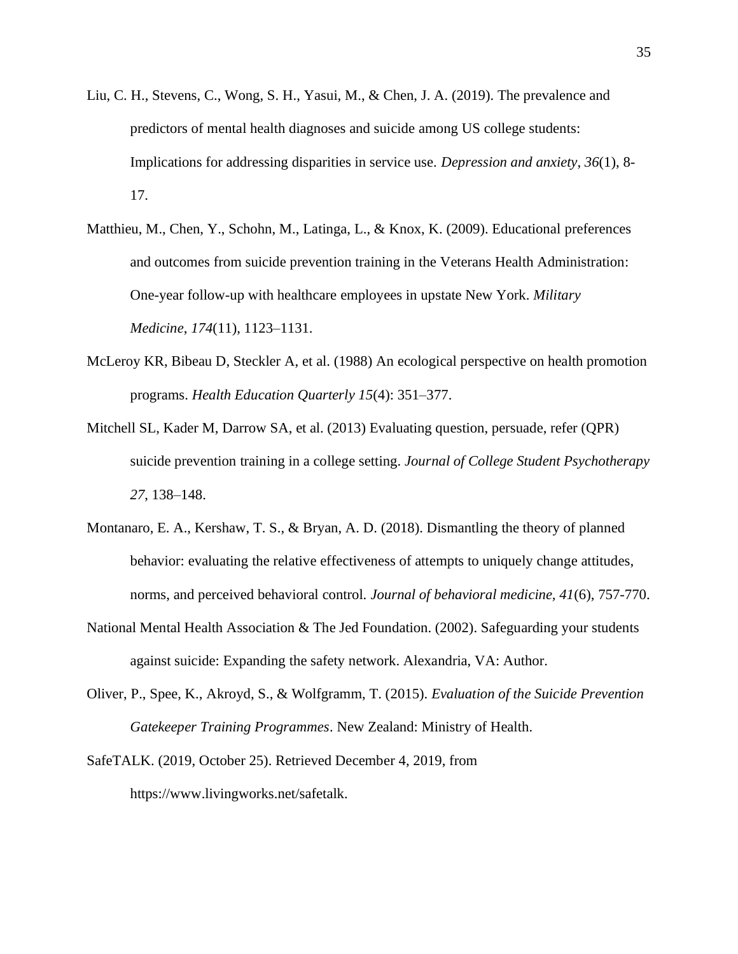- Liu, C. H., Stevens, C., Wong, S. H., Yasui, M., & Chen, J. A. (2019). The prevalence and predictors of mental health diagnoses and suicide among US college students: Implications for addressing disparities in service use. *Depression and anxiety*, *36*(1), 8- 17.
- Matthieu, M., Chen, Y., Schohn, M., Latinga, L., & Knox, K. (2009). Educational preferences and outcomes from suicide prevention training in the Veterans Health Administration: One-year follow-up with healthcare employees in upstate New York. *Military Medicine*, *174*(11), 1123–1131.
- McLeroy KR, Bibeau D, Steckler A, et al. (1988) An ecological perspective on health promotion programs. *Health Education Quarterly 15*(4): 351–377.
- Mitchell SL, Kader M, Darrow SA, et al. (2013) Evaluating question, persuade, refer (QPR) suicide prevention training in a college setting. *Journal of College Student Psychotherapy 27*, 138–148.
- Montanaro, E. A., Kershaw, T. S., & Bryan, A. D. (2018). Dismantling the theory of planned behavior: evaluating the relative effectiveness of attempts to uniquely change attitudes, norms, and perceived behavioral control. *Journal of behavioral medicine, 41*(6), 757-770.
- National Mental Health Association & The Jed Foundation. (2002). Safeguarding your students against suicide: Expanding the safety network. Alexandria, VA: Author.
- Oliver, P., Spee, K., Akroyd, S., & Wolfgramm, T. (2015). *Evaluation of the Suicide Prevention Gatekeeper Training Programmes*. New Zealand: Ministry of Health.
- SafeTALK. (2019, October 25). Retrieved December 4, 2019, from https://www.livingworks.net/safetalk.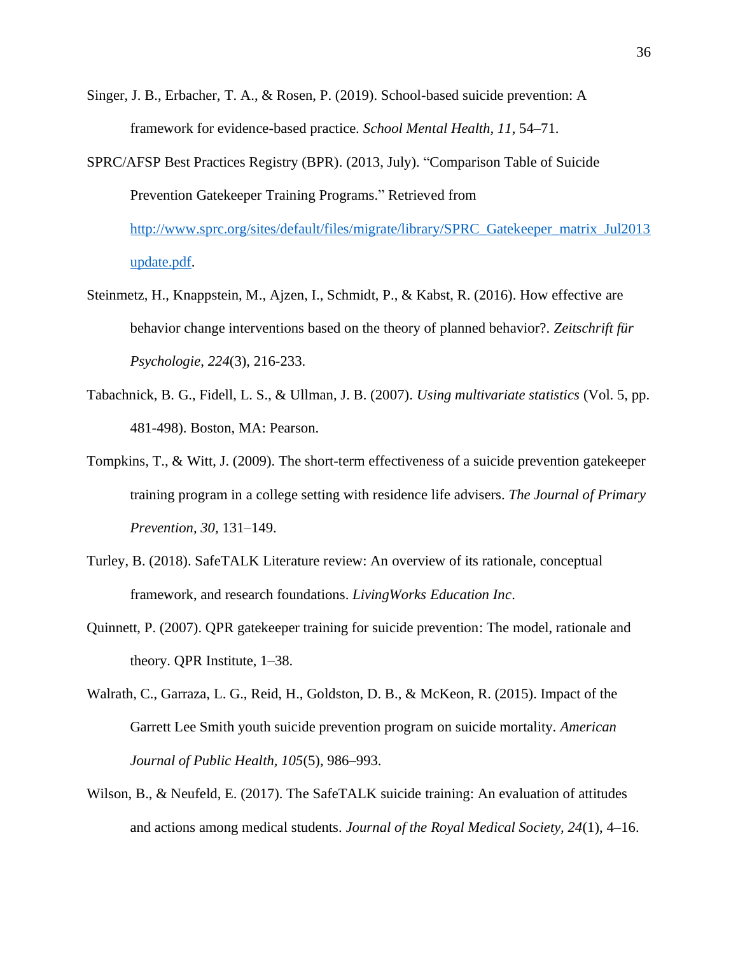- Singer, J. B., Erbacher, T. A., & Rosen, P. (2019). School-based suicide prevention: A framework for evidence-based practice. *School Mental Health, 11*, 54–71.
- SPRC/AFSP Best Practices Registry (BPR). (2013, July). "Comparison Table of Suicide Prevention Gatekeeper Training Programs." Retrieved from [http://www.sprc.org/sites/default/files/migrate/library/SPRC\\_Gatekeeper\\_matrix\\_Jul2013](http://www.sprc.org/sites/default/files/migrate/library/SPRC_Gatekeeper_matrix_Jul2013update.pdf) [update.pdf.](http://www.sprc.org/sites/default/files/migrate/library/SPRC_Gatekeeper_matrix_Jul2013update.pdf)
- Steinmetz, H., Knappstein, M., Ajzen, I., Schmidt, P., & Kabst, R. (2016). How effective are behavior change interventions based on the theory of planned behavior?. *Zeitschrift für Psychologie*, *224*(3), 216-233.
- Tabachnick, B. G., Fidell, L. S., & Ullman, J. B. (2007). *Using multivariate statistics* (Vol. 5, pp. 481-498). Boston, MA: Pearson.
- Tompkins, T., & Witt, J. (2009). The short-term effectiveness of a suicide prevention gatekeeper training program in a college setting with residence life advisers. *The Journal of Primary Prevention, 30,* 131–149.
- Turley, B. (2018). SafeTALK Literature review: An overview of its rationale, conceptual framework, and research foundations. *LivingWorks Education Inc*.
- Quinnett, P. (2007). QPR gatekeeper training for suicide prevention: The model, rationale and theory. QPR Institute, 1–38.
- Walrath, C., Garraza, L. G., Reid, H., Goldston, D. B., & McKeon, R. (2015). Impact of the Garrett Lee Smith youth suicide prevention program on suicide mortality. *American Journal of Public Health, 105*(5), 986–993.
- Wilson, B., & Neufeld, E. (2017). The SafeTALK suicide training: An evaluation of attitudes and actions among medical students. *Journal of the Royal Medical Society, 24*(1), 4–16.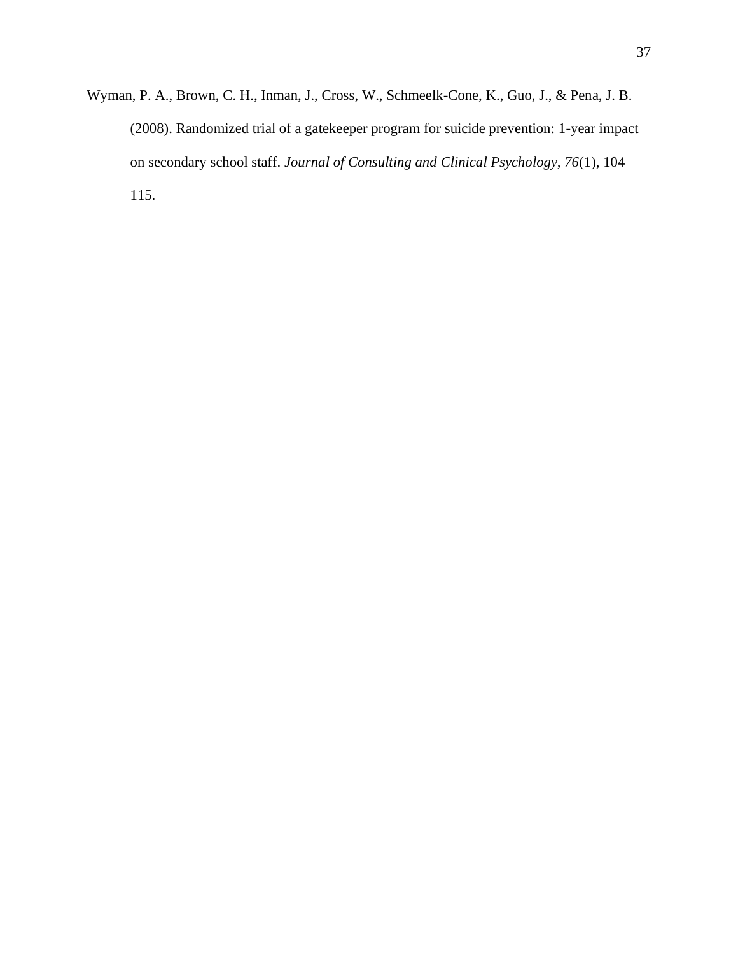Wyman, P. A., Brown, C. H., Inman, J., Cross, W., Schmeelk-Cone, K., Guo, J., & Pena, J. B. (2008). Randomized trial of a gatekeeper program for suicide prevention: 1-year impact on secondary school staff. *Journal of Consulting and Clinical Psychology, 76*(1), 104– 115.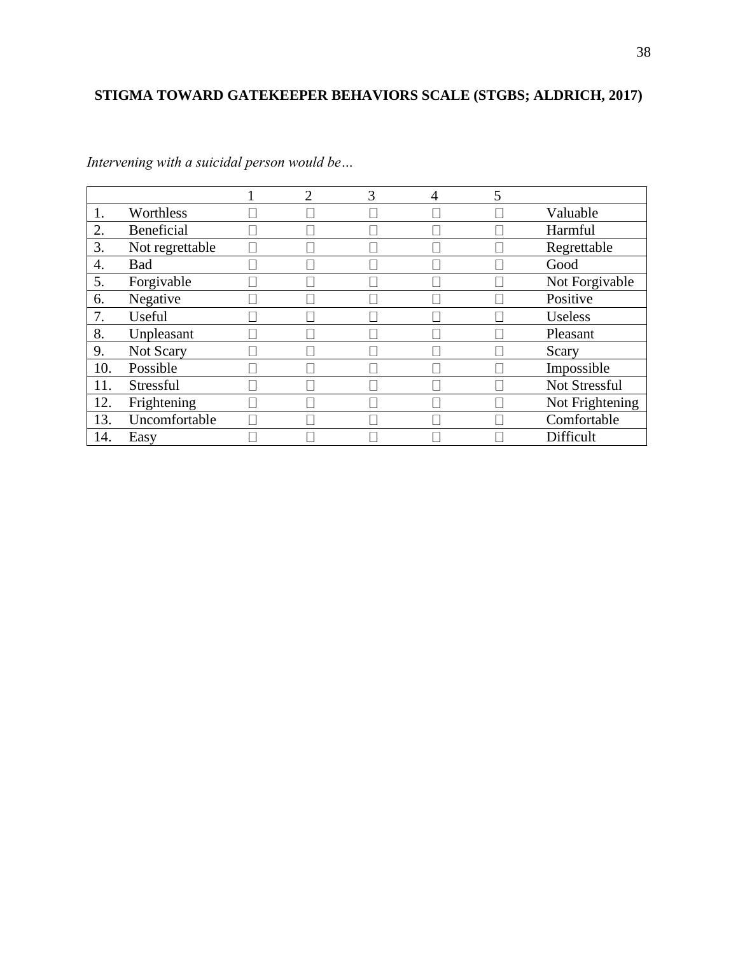# **STIGMA TOWARD GATEKEEPER BEHAVIORS SCALE (STGBS; ALDRICH, 2017)**

|     |                 | າ | 3 | 4 |                 |
|-----|-----------------|---|---|---|-----------------|
|     | Worthless       |   |   |   | Valuable        |
| 2.  | Beneficial      |   |   |   | Harmful         |
| 3.  | Not regrettable |   |   |   | Regrettable     |
| 4.  | <b>Bad</b>      |   |   |   | Good            |
| 5.  | Forgivable      |   |   |   | Not Forgivable  |
| 6.  | Negative        |   |   |   | Positive        |
|     | Useful          |   |   |   | <b>Useless</b>  |
| 8.  | Unpleasant      |   |   |   | Pleasant        |
| 9.  | Not Scary       |   |   |   | Scary           |
| 10. | Possible        |   |   |   | Impossible      |
| 11. | Stressful       |   |   |   | Not Stressful   |
| 12. | Frightening     |   |   |   | Not Frightening |
| 13. | Uncomfortable   |   |   |   | Comfortable     |
| 14. | Easy            |   |   |   | Difficult       |

*Intervening with a suicidal person would be…*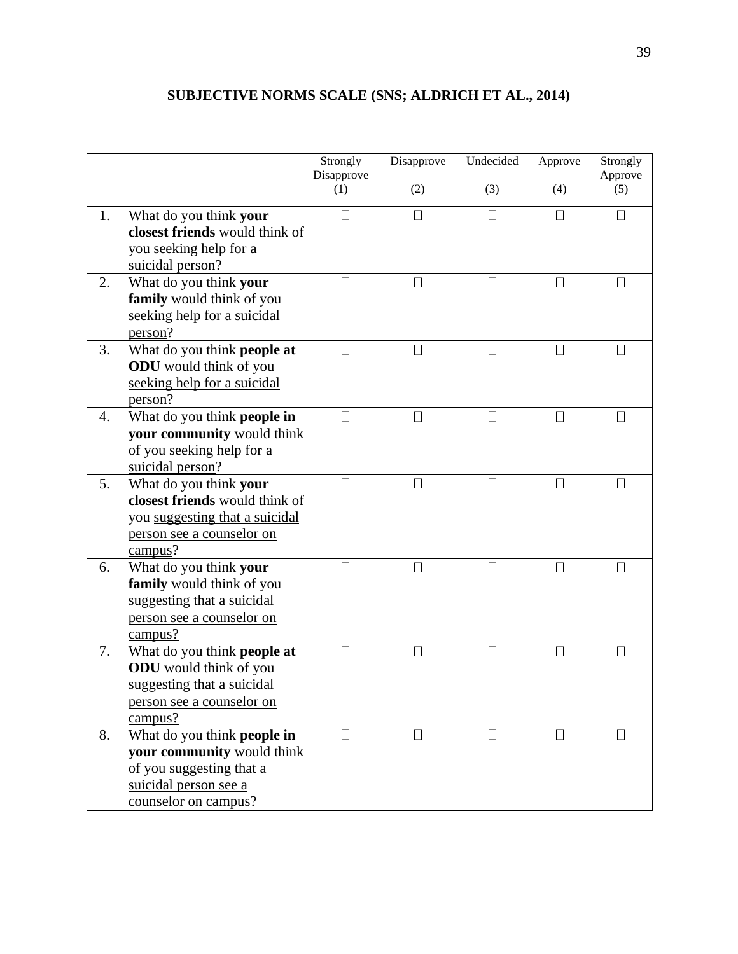# **SUBJECTIVE NORMS SCALE (SNS; ALDRICH ET AL., 2014)**

|    |                                  | Strongly                 | Disapprove               | Undecided | Approve           | Strongly       |
|----|----------------------------------|--------------------------|--------------------------|-----------|-------------------|----------------|
|    |                                  | Disapprove<br>(1)        | (2)                      | (3)       | (4)               | Approve<br>(5) |
| 1. | What do you think your           | $\overline{\phantom{a}}$ |                          | $\Box$    | $\Box$            | $\Box$         |
|    | closest friends would think of   |                          |                          |           |                   |                |
|    | you seeking help for a           |                          |                          |           |                   |                |
|    | suicidal person?                 |                          |                          |           |                   |                |
| 2. | What do you think your           | $\mathsf{L}$             |                          | $\Box$    | $\mathsf{I}$      | $\mathsf{I}$   |
|    | family would think of you        |                          |                          |           |                   |                |
|    | seeking help for a suicidal      |                          |                          |           |                   |                |
|    | person?                          |                          |                          |           |                   |                |
| 3. | What do you think people at      | $\mathsf{L}$             |                          | $\Box$    | П                 | П              |
|    | <b>ODU</b> would think of you    |                          |                          |           |                   |                |
|    | seeking help for a suicidal      |                          |                          |           |                   |                |
|    | person?                          |                          |                          |           |                   |                |
| 4. | What do you think people in      | П                        |                          | П         | П                 | П              |
|    | your community would think       |                          |                          |           |                   |                |
|    | of you seeking help for a        |                          |                          |           |                   |                |
|    | suicidal person?                 |                          |                          |           |                   |                |
| 5. | What do you think your           | □                        |                          | $\Box$    | П                 | □              |
|    | closest friends would think of   |                          |                          |           |                   |                |
|    | you suggesting that a suicidal   |                          |                          |           |                   |                |
|    | person see a counselor on        |                          |                          |           |                   |                |
|    | campus?                          |                          |                          |           |                   |                |
| 6. | What do you think your           | П                        | $\overline{\phantom{a}}$ | $\Box$    | П                 | П              |
|    | family would think of you        |                          |                          |           |                   |                |
|    | suggesting that a suicidal       |                          |                          |           |                   |                |
|    | person see a counselor on        |                          |                          |           |                   |                |
|    | campus?                          |                          |                          |           |                   |                |
| 7. | What do you think people at      |                          |                          | □         | $\vert \ \ \vert$ | □              |
|    | <b>ODU</b> would think of you    |                          |                          |           |                   |                |
|    | suggesting that a suicidal       |                          |                          |           |                   |                |
|    | <u>person see a counselor on</u> |                          |                          |           |                   |                |
|    | campus?                          |                          |                          |           |                   |                |
| 8. | What do you think people in      |                          |                          | $\Box$    |                   | $\Box$         |
|    | your community would think       |                          |                          |           |                   |                |
|    | of you suggesting that a         |                          |                          |           |                   |                |
|    | suicidal person see a            |                          |                          |           |                   |                |
|    | counselor on campus?             |                          |                          |           |                   |                |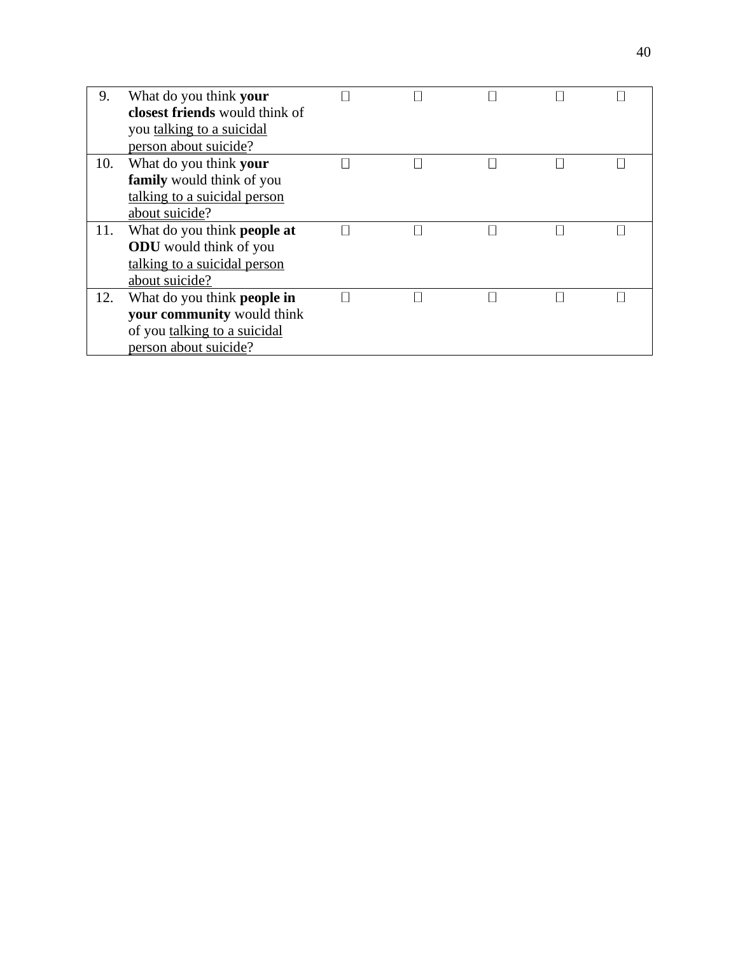| 9.  | What do you think your             |  |  |  |
|-----|------------------------------------|--|--|--|
|     | closest friends would think of     |  |  |  |
|     | you talking to a suicidal          |  |  |  |
|     | person about suicide?              |  |  |  |
| 10. | What do you think your             |  |  |  |
|     | <b>family</b> would think of you   |  |  |  |
|     | talking to a suicidal person       |  |  |  |
|     | about suicide?                     |  |  |  |
| 11. | What do you think <b>people at</b> |  |  |  |
|     | <b>ODU</b> would think of you      |  |  |  |
|     | talking to a suicidal person       |  |  |  |
|     | about suicide?                     |  |  |  |
| 12. | What do you think <b>people in</b> |  |  |  |
|     | your community would think         |  |  |  |
|     | of you talking to a suicidal       |  |  |  |
|     | person about suicide?              |  |  |  |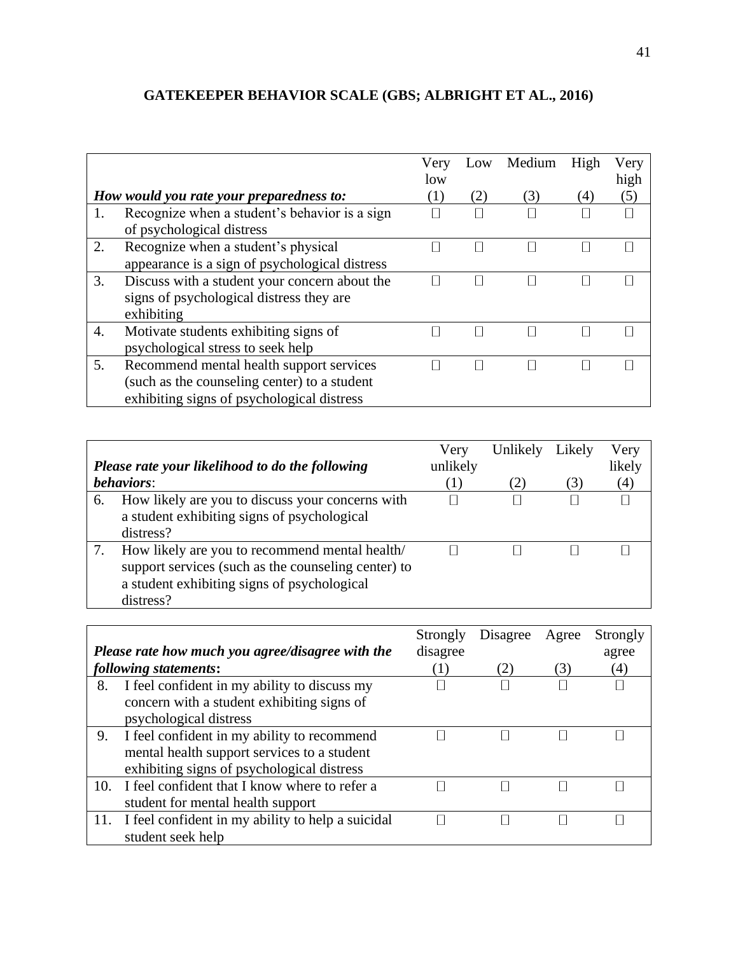# **GATEKEEPER BEHAVIOR SCALE (GBS; ALBRIGHT ET AL., 2016)**

|    |                                                | Very<br>low       | Low | Medium | High              | Very<br>high |
|----|------------------------------------------------|-------------------|-----|--------|-------------------|--------------|
|    | How would you rate your preparedness to:       | $\left( 1\right)$ | (2) | (3)    | $\left( 4\right)$ | (5)          |
| 1. | Recognize when a student's behavior is a sign  |                   |     |        |                   |              |
|    | of psychological distress                      |                   |     |        |                   |              |
| 2. | Recognize when a student's physical            |                   |     |        |                   |              |
|    | appearance is a sign of psychological distress |                   |     |        |                   |              |
| 3. | Discuss with a student your concern about the  |                   |     |        |                   |              |
|    | signs of psychological distress they are       |                   |     |        |                   |              |
|    | exhibiting                                     |                   |     |        |                   |              |
| 4. | Motivate students exhibiting signs of          |                   |     |        |                   |              |
|    | psychological stress to seek help              |                   |     |        |                   |              |
| 5. | Recommend mental health support services       |                   |     |        |                   |              |
|    | (such as the counseling center) to a student   |                   |     |        |                   |              |
|    | exhibiting signs of psychological distress     |                   |     |        |                   |              |

|    | Please rate your likelihood to do the following                                                                                                                   | Very<br>unlikely | Unlikely | Likely | Very<br>likely |
|----|-------------------------------------------------------------------------------------------------------------------------------------------------------------------|------------------|----------|--------|----------------|
|    | <i>behaviors:</i>                                                                                                                                                 | $\left(1\right)$ | (2)      | (3)    | (4)            |
| 6. | How likely are you to discuss your concerns with<br>a student exhibiting signs of psychological<br>distress?                                                      |                  |          |        |                |
| 7. | How likely are you to recommend mental health/<br>support services (such as the counseling center) to<br>a student exhibiting signs of psychological<br>distress? |                  |          |        |                |

|     | Please rate how much you agree/disagree with the  | Strongly<br>disagree | Disagree | Agree | Strongly<br>agree |
|-----|---------------------------------------------------|----------------------|----------|-------|-------------------|
|     | following statements:                             | (1)                  | 2)       | (3)   | $\left( 4\right)$ |
| 8.  | I feel confident in my ability to discuss my      |                      |          |       |                   |
|     | concern with a student exhibiting signs of        |                      |          |       |                   |
|     | psychological distress                            |                      |          |       |                   |
| 9.  | I feel confident in my ability to recommend       |                      |          |       |                   |
|     | mental health support services to a student       |                      |          |       |                   |
|     | exhibiting signs of psychological distress        |                      |          |       |                   |
| 10. | I feel confident that I know where to refer a     |                      |          |       |                   |
|     | student for mental health support                 |                      |          |       |                   |
| 11. | I feel confident in my ability to help a suicidal |                      |          |       |                   |
|     | student seek help                                 |                      |          |       |                   |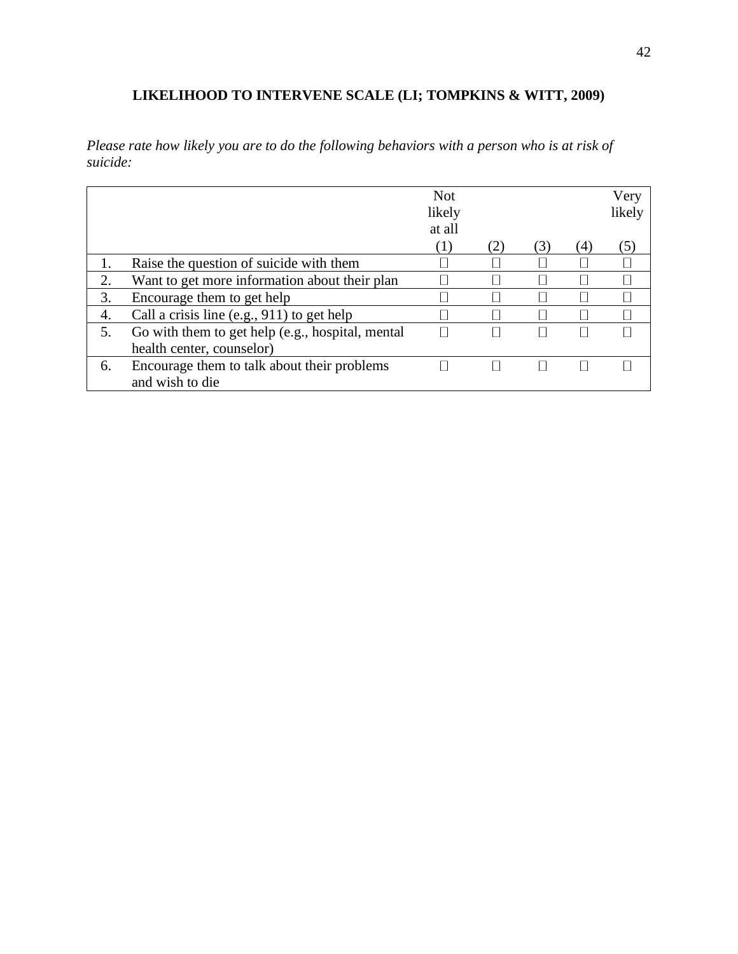# **LIKELIHOOD TO INTERVENE SCALE (LI; TOMPKINS & WITT, 2009)**

*Please rate how likely you are to do the following behaviors with a person who is at risk of suicide:*

|    |                                                  | <b>Not</b><br>likely<br>at all |     |     |     | Very<br>likely |
|----|--------------------------------------------------|--------------------------------|-----|-----|-----|----------------|
|    |                                                  | (1)                            | (2) | (3) | (4) | $\mathcal{D}$  |
|    | Raise the question of suicide with them          |                                |     |     |     |                |
| 2. | Want to get more information about their plan    |                                |     |     |     |                |
| 3. | Encourage them to get help                       |                                |     |     |     |                |
| 4. | Call a crisis line (e.g., 911) to get help       |                                |     |     |     |                |
| 5. | Go with them to get help (e.g., hospital, mental |                                |     |     |     |                |
|    | health center, counselor)                        |                                |     |     |     |                |
| 6. | Encourage them to talk about their problems      |                                |     |     |     |                |
|    | and wish to die                                  |                                |     |     |     |                |